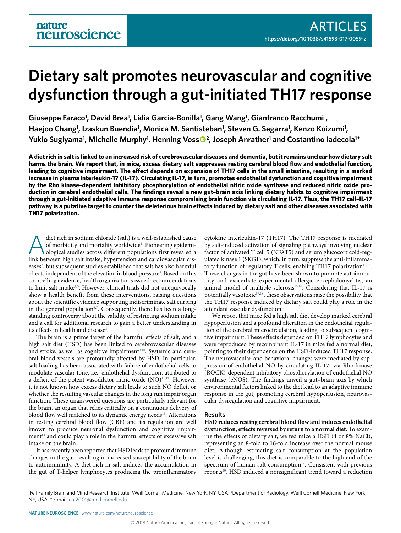# **Dietary salt promotes neurovascular and cognitive dysfunction through a gut-initiated TH17 response**

Giuseppe Faraco<sup>1</sup>, David Brea<sup>1</sup>, Lidia Garcia-Bonilla<sup>1</sup>, Gang Wang<sup>1</sup>, Gianfranco Racchumi<sup>1</sup>, Haejoo Chang<sup>1</sup>, Izaskun Buendia<sup>1</sup>, Monica M. Santisteban<sup>1</sup>, Steven G. Segarra<sup>1</sup>, Kenzo Koizumi<sup>1</sup>, Yukio Sugiyama<sup>1</sup>, Michelle Murphy<sup>1</sup>, Henning Voss<sup>®2</sup>, Joseph Anrather<sup>1</sup> and Costantino Iadecola<sup>1\*</sup>

**A diet rich in salt is linked to an increased risk of cerebrovascular diseases and dementia, but it remains unclear how dietary salt harms the brain. We report that, in mice, excess dietary salt suppresses resting cerebral blood flow and endothelial function, leading to cognitive impairment. The effect depends on expansion of TH17 cells in the small intestine, resulting in a marked increase in plasma interleukin-17 (IL-17). Circulating IL-17, in turn, promotes endothelial dysfunction and cognitive impairment by the Rho kinase–dependent inhibitory phosphorylation of endothelial nitric oxide synthase and reduced nitric oxide production in cerebral endothelial cells. The findings reveal a new gut–brain axis linking dietary habits to cognitive impairment through a gut-initiated adaptive immune response compromising brain function via circulating IL-17. Thus, the TH17 cell–IL-17 pathway is a putative target to counter the deleterious brain effects induced by dietary salt and other diseases associated with TH17 polarization.**

diet rich in sodium chloride (salt) is a well-established cause<br>of morbidity and mortality worldwide<sup>1</sup>. Pioneering epidemi-<br>ological studies across different populations first revealed a<br>link between high selt inteke hype of morbidity and mortality worldwide<sup>[1](#page-8-0)</sup>. Pioneering epidemilink between high salt intake, hypertension and cardiovascular diseases<sup>2</sup>, but subsequent studies established that salt has also harmful effects independent of the elevation in blood pressure<sup>[3](#page-8-2)</sup>. Based on this compelling evidence, health organizations issued recommendations to limit salt intake<sup>[4](#page-8-3),[5](#page-8-4)</sup>. However, clinical trials did not unequivocally show a health benefit from these interventions, raising questions about the scientific evidence supporting indiscriminate salt curbing in the general population<sup>[6](#page-8-5),[7](#page-8-6)</sup>. Consequently, there has been a longstanding controversy about the validity of restricting sodium intake and a call for additional research to gain a better understanding in its effects in health and disease $\delta$ .

The brain is a prime target of the harmful effects of salt, and a high salt diet (HSD) has been linked to cerebrovascular diseases and stroke, as well as cognitive impairment<sup>[9](#page-8-8),10</sup>. Systemic and cerebral blood vessels are profoundly affected by HSD. In particular, salt loading has been associated with failure of endothelial cells to modulate vascular tone, i.e., endothelial dysfunction, attributed to a deficit of the potent vasodilator nitric oxide (NO)<sup>[11](#page-9-1)[,12](#page-9-2)</sup>. However, it is not known how excess dietary salt leads to such NO deficit or whether the resulting vascular changes in the long run impair organ function. These unanswered questions are particularly relevant for the brain, an organ that relies critically on a continuous delivery of blood flow well matched to its dynamic energy needs<sup>13</sup>. Alterations in resting cerebral blood flow (CBF) and its regulation are well known to produce neuronal dysfunction and cognitive impairment<sup>14</sup> and could play a role in the harmful effects of excessive salt intake on the brain.

It has recently been reported that HSD leads to profound immune changes in the gut, resulting in increased susceptibility of the brain to autoimmunity. A diet rich in salt induces the accumulation in the gut of T-helper lymphocytes producing the proinflammatory

cytokine interleukin-17 (TH17). The TH17 response is mediated by salt-induced activation of signaling pathways involving nuclear factor of activated T cell 5 (NFAT5) and serum glucocorticoid-regulated kinase 1 (SKG1), which, in turn, suppress the anti-inflamma-tory function of regulatory T cells, enabling TH17 polarization<sup>[15](#page-9-5),16</sup>. These changes in the gut have been shown to promote autoimmunity and exacerbate experimental allergic encephalomyelitis, an animal model of multiple sclerosis<sup>15,16</sup>. Considering that IL-17 is potentially vasotoxic $17,18$  $17,18$ , these observations raise the possibility that the TH17 response induced by dietary salt could play a role in the attendant vascular dysfunction.

We report that mice fed a high salt diet develop marked cerebral hypoperfusion and a profound alteration in the endothelial regulation of the cerebral microcirculation, leading to subsequent cognitive impairment. These effects depended on TH17 lymphocytes and were reproduced by recombinant IL-17 in mice fed a normal diet, pointing to their dependence on the HSD-induced TH17 response. The neurovascular and behavioral changes were mediated by suppression of endothelial NO by circulating IL-17, via Rho kinase (ROCK)-dependent inhibitory phosphorylation of endothelial NO synthase (eNOS). The findings unveil a gut–brain axis by which environmental factors linked to the diet lead to an adaptive immune response in the gut, promoting cerebral hypoperfusion, neurovascular dysregulation and cognitive impairment.

#### **Results**

**HSD reduces resting cerebral blood flow and induces endothelial dysfunction, effects reversed by return to a normal diet.** To examine the effects of dietary salt, we fed mice a HSD (4 or 8% NaCl), representing an 8-fold to 16-fold increase over the normal mouse diet. Although estimating salt consumption at the population level is challenging, this diet is comparable to the high end of the spectrum of human salt consumption<sup>19</sup>. Consistent with previous reports<sup>20</sup>, HSD induced a nonsignificant trend toward a reduction

<sup>&</sup>lt;sup>1</sup>Feil Family Brain and Mind Research Institute, Weill Cornell Medicine, New York, NY, USA. <sup>2</sup>Department of Radiology, Weill Cornell Medicine, New York, NY, USA. \*e-mail: [coi2001@med.cornell.edu](mailto:coi2001@med.cornell.edu)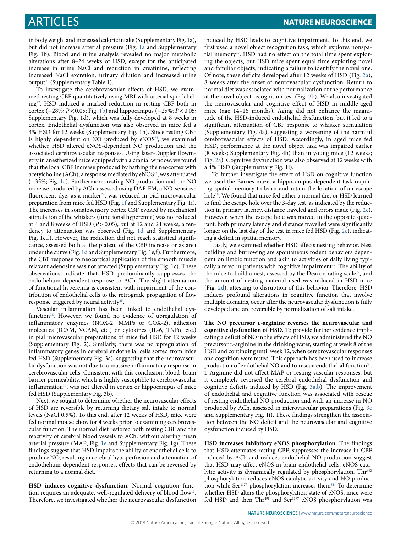in body weight and increased caloric intake (Supplementary Fig. 1a), but did not increase arterial pressure (Fig. [1a](#page-2-0) and Supplementary Fig. 1b). Blood and urine analysis revealed no major metabolic alterations after 8–24 weeks of HSD, except for the anticipated increase in urine NaCl and reduction in creatinine, reflecting increased NaCl excretion, urinary dilution and increased urine output<sup>21</sup> (Supplementary Table 1).

To investigate the cerebrovascular effects of HSD, we examined resting CBF quantitatively using MRI with arterial spin labelin[g22.](#page-9-12) HSD induced a marked reduction in resting CBF both in cortex (−28%; *P<*0.05; Fig. [1b](#page-2-0)) and hippocampus (−25%; *P<*0.05; Supplementary Fig. 1d), which was fully developed at 8 weeks in cortex. Endothelial dysfunction was also observed in mice fed a 4% HSD for 12 weeks (Supplementary Fig. 1h). Since resting CBF is highly dependent on NO produced by eNOS<sup>23</sup>, we examined whether HSD altered eNOS-dependent NO production and the associated cerebrovascular responses. Using laser-Doppler flowmetry in anesthetized mice equipped with a cranial window, we found that the local CBF increase produced by bathing the neocortex with acetylcholine (ACh), a response mediated by eNOS<sup>23</sup>, was attenuated (−35%; Fig. [1c\)](#page-2-0). Furthermore, resting NO production and the NO increase produced by ACh, assessed using DAF-FM, a NO-sensitive fluorescent dye, as a marker<sup>24</sup>, was reduced in pial microvascular preparation from mice fed HSD (Fig. [1f](#page-2-0) and Supplementary Fig. 1i). The increases in somatosensory cortex CBF evoked by mechanical stimulation of the whiskers (functional hyperemia) was not reduced at 4 and 8 weeks of HSD (*P*>0.05), but at 12 and 24 weeks, a tendency to attenuation was observed (Fig. [1d](#page-2-0) and Supplementary Fig. 1e,f). However, the reduction did not reach statistical significance, assessed both at the plateau of the CBF increase or as area under the curve (Fig. [1d](#page-2-0) and Supplementary Fig. 1e,f). Furthermore, the CBF response to neocortical application of the smooth muscle relaxant adenosine was not affected (Supplementary Fig. 1c). These observations indicate that HSD predominantly suppresses the endothelium-dependent response to ACh. The slight attenuation of functional hyperemia is consistent with impairment of the contribution of endothelial cells to the retrograde propagation of flow response triggered by neural activity<sup>25</sup>.

Vascular inflammation has been linked to endothelial dysfunction<sup>26</sup>. However, we found no evidence of upregulation of inflammatory enzymes (NOX-2, MMPs or COX-2), adhesion molecules (ICAM, VCAM, etc.) or cytokines (IL-6, TNFα, etc.) in pial microvascular preparations of mice fed HSD for 12 weeks (Supplementary Fig. 2). Similarly, there was no upregulation of inflammatory genes in cerebral endothelial cells sorted from mice fed HSD (Supplementary Fig. 3a), suggesting that the neurovascular dysfunction was not due to a massive inflammatory response in cerebrovascular cells. Consistent with this conclusion, blood–brain barrier permeability, which is highly susceptible to cerebrovascular  $inflammation<sup>14</sup>$ , was not altered in cortex or hippocampus of mice fed HSD (Supplementary Fig. 3b).

Next, we sought to determine whether the neurovascular effects of HSD are reversible by returning dietary salt intake to normal levels (NaCl 0.5%). To this end, after 12 weeks of HSD, mice were fed normal mouse chow for 4 weeks prior to examining cerebrovascular function. The normal diet restored both resting CBF and the reactivity of cerebral blood vessels to ACh, without altering mean arterial pressure (MAP; Fig. [1e](#page-2-0) and Supplementary Fig. 1g). These findings suggest that HSD impairs the ability of endothelial cells to produce NO, resulting in cerebral hypoperfusion and attenuation of endothelium-dependent responses, effects that can be reversed by returning to a normal diet.

**HSD induces cognitive dysfunction.** Normal cognition function requires an adequate, well-regulated delivery of blood flow $^{13}$ . Therefore, we investigated whether the neurovascular dysfunction induced by HSD leads to cognitive impairment. To this end, we first used a novel object recognition task, which explores nonspa-tial memory<sup>[27](#page-9-17)</sup>. HSD had no effect on the total time spent exploring the objects, but HSD mice spent equal time exploring novel and familiar objects, indicating a failure to identify the novel one. Of note, these deficits developed after 12 weeks of HSD (Fig. [2a](#page-3-0)), 8 weeks after the onset of neurovascular dysfunction. Return to normal diet was associated with normalization of the performance at the novel object recognition test (Fig. [2b](#page-3-0)). We also investigated the neurovascular and cognitive effect of HSD in middle-aged mice (age 14–16 months). Aging did not enhance the magnitude of the HSD-induced endothelial dysfunction, but it led to a significant attenuation of CBF response to whisker stimulation (Supplementary Fig. 4a), suggesting a worsening of the harmful cerebrovascular effects of HSD. Accordingly, in aged mice fed HSD, performance at the novel object task was impaired earlier (8 weeks; Supplementary Fig. 4b) than in young mice (12 weeks; Fig. [2a\)](#page-3-0). Cognitive dysfunction was also observed at 12 weeks with a 4% HSD (Supplementary Fig. 1i).

To further investigate the effect of HSD on cognitive function we used the Barnes maze, a hippocampus-dependent task requiring spatial memory to learn and retain the location of an escape hole[28.](#page-9-18) We found that mice fed either a normal diet or HSD learned to find the escape hole over the 3-day test, as indicated by the reduction in primary latency, distance traveled and errors made (Fig. [2c](#page-3-0)). However, when the escape hole was moved to the opposite quadrant, both primary latency and distance travelled were significantly longer on the last day of the test in mice fed HSD (Fig. [2c](#page-3-0)), indicating a deficit in spatial memory.

Lastly, we examined whether HSD affects nesting behavior. Nest building and burrowing are spontaneous rodent behaviors dependent on limbic function and akin to activities of daily living typi-cally altered in patients with cognitive impairment<sup>[29](#page-9-19)</sup>. The ability of the mice to build a nest, assessed by the Deacon rating scale<sup>[29](#page-9-19)</sup>, and the amount of nesting material used was reduced in HSD mice (Fig. [2d](#page-3-0)), attesting to disruption of this behavior. Therefore, HSD induces profound alterations in cognitive function that involve multiple domains, occur after the neurovascular dysfunction is fully developed and are reversible by normalization of salt intake.

**The NO precursor l-arginine reverses the neurovascular and cognitive dysfunction of HSD.** To provide further evidence implicating a deficit of NO in the effects of HSD, we administered the NO precursor l-arginine in the drinking water, starting at week 8 of the HSD and continuing until week 12, when cerebrovascular responses and cognition were tested. This approach has been used to increase production of endothelial NO and to rescue endothelial function<sup>30</sup>. l-Arginine did not affect MAP or resting vascular responses, but it completely reversed the cerebral endothelial dysfunction and cognitive deficits induced by HSD (Fig. [3a,b\)](#page-3-1). The improvement of endothelial and cognitive function was associated with rescue of resting endothelial NO production and with an increase in NO produced by ACh, assessed in microvascular preparations (Fig. [3c](#page-3-1) and Supplementary Fig. 1i). These findings strengthen the association between the NO deficit and the neurovascular and cognitive dysfunction induced by HSD.

**HSD increases inhibitory eNOS phosphorylation.** The findings that HSD attenuates resting CBF, suppresses the increase in CBF induced by ACh and reduces endothelial NO production suggest that HSD may affect eNOS in brain endothelial cells. eNOS catalytic activity is dynamically regulated by phosphorylation. Thr<sup>495</sup> phosphorylation reduces eNOS catalytic activity and NO production while Ser<sup>1177</sup> phosphorylation increases them<sup>31</sup>. To determine whether HSD alters the phosphorylation state of eNOS, mice were fed HSD and then Thr<sup>495</sup> and Ser<sup>1177</sup> eNOS phosphorylation was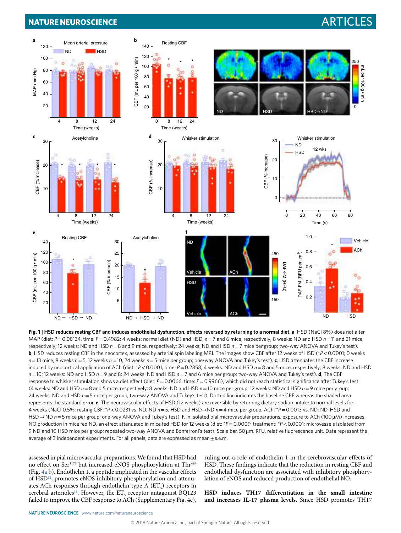## **NATURE NEUROSCIENCE** And the second second second second second second second second second second second second second second second second second second second second second second second second second second second sec



<span id="page-2-0"></span>**Fig. 1 | HSD reduces resting CBF and induces endothelial dysfunction, effects reversed by returning to a normal diet. a**, HSD (NaCl 8%) does not alter MAP (diet: *P*= 0.08134, time: *P*= 0.4982; 4 weeks: normal diet (ND) and HSD, *n*= 7 and 6 mice, respectively; 8 weeks: ND and HSD *n*= 11 and 21 mice, respectively; 12 weeks: ND and HSD *n*= 8 and 9 mice, respectively; 24 weeks: ND and HSD *n*= 7 mice per group; two-way ANOVA and Tukey's test). **b**, HSD reduces resting CBF in the neocortex, assessed by arterial spin labeling MRI. The images show CBF after 12 weeks of HSD (\**P*< 0.0001; 0 weeks *n*= 13 mice, 8 weeks *n*= 5, 12 weeks *n*= 10, 24 weeks *n*= 5 mice per group; one-way ANOVA and Tukey's test). **c**, HSD attenuates the CBF increase induced by neocortical application of ACh (diet: \**P* < 0.0001, time: *P* = 0.2858; 4 weeks: ND and HSD *n* = 8 and 5 mice, respectively; 8 weeks: ND and HSD *n*= 10; 12 weeks: ND and HSD *n*= 9 and 8; 24 weeks: ND and HSD *n*= 7 and 6 mice per group; two-way ANOVA and Tukey's test). **d**, The CBF response to whisker stimulation shows a diet effect (diet:  $P = 0.0066$ , time:  $P = 0.9966$ ), which did not reach statistical significance after Tukey's test (4 weeks: ND and HSD *n*= 8 and 5 mice, respectively; 8 weeks: ND and HSD *n*= 10 mice per group; 12 weeks: ND and HSD *n*= 9 mice per group; 24 weeks: ND and HSD *n*= 5 mice per group; two-way ANOVA and Tukey's test). Dotted line indicates the baseline CBF whereas the shaded area represents the standard error. **e**, The neurovascular effects of HSD (12 weeks) are reversible by returning dietary sodium intake to normal levels for 4 weeks (NaCl 0.5%; resting CBF: \**P*< 0.0231 vs. ND; ND *n*= 5, HSD and HSD→ND *n*= 4 mice per group; ACh: \**P*= 0.0013 vs. ND; ND, HSD and HSD → ND *n*= 5 mice per group; one-way ANOVA and Tukey's test). **f**, In isolated pial microvascular preparations, exposure to ACh (100 µM) increases NO production in mice fed ND, an effect attenuated in mice fed HSD for 12 weeks (diet: \**P*= 0.0009, treatment: \**P*< 0.0001; microvessels isolated from 9 ND and 10 HSD mice per group; repeated two-way ANOVA and Bonferroni's test). Scale bar, 50 μm. RFU, relative fluorescence unit. Data represent the average of 3 independent experiments. For all panels, data are expressed as mean $\pm$ s.e.m.

assessed in pial microvascular preparations. We found that HSD had no effect on Ser<sup>1177</sup> but increased eNOS phosphorylation at Thr<sup>495</sup> (Fig. [4a,b\)](#page-4-0). Endothelin 1, a peptide implicated in the vascular effects of HSD<sup>[32](#page-9-22)</sup>, promotes eNOS inhibitory phosphorylation and attenuates ACh responses through endothelin type A  $(ET_A)$  receptors in cerebral arterioles<sup>[33](#page-9-23)</sup>. However, the  $ET_A$  receptor antagonist BQ123 failed to improve the CBF response to ACh (Supplementary Fig. 4c), ruling out a role of endothelin 1 in the cerebrovascular effects of HSD. These findings indicate that the reduction in resting CBF and endothelial dysfunction are associated with inhibitory phosphorylation of eNOS and reduced production of endothelial NO.

**HSD induces TH17 differentiation in the small intestine and increases IL-17 plasma levels.** Since HSD promotes TH17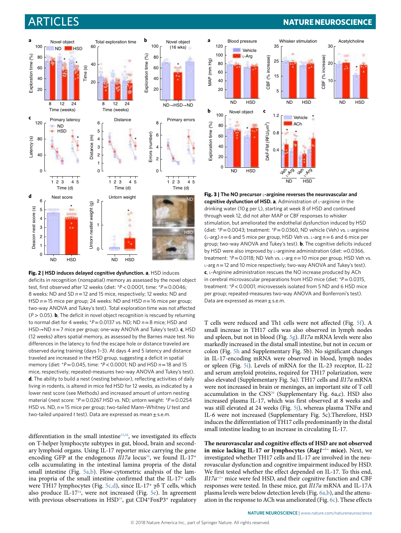

<span id="page-3-0"></span>**Fig. 2 | HSD induces delayed cognitive dysfunction. a**, HSD induces deficits in recognition (nonspatial) memory as assessed by the novel object test, first observed after 12 weeks (diet: \**P*< 0.0001, time: \**P*= 0.0046; 8 weeks: ND and SD *n*= 12 and 15 mice, respectively; 12 weeks: ND and HSD *n*= 15 mice per group; 24 weeks: ND and HSD *n*= 16 mice per group; two-way ANOVA and Tukey's test). Total exploration time was not affected (*P* > 0.05). **b**, The deficit in novel object recognition is rescued by returning to normal diet for 4 weeks; \**P*= 0.0137 vs. ND; ND *n*= 8 mice; HSD and HSD→ND *n*= 7 mice per group; one-way ANOVA and Tukey's test). **c**, HSD (12 weeks) alters spatial memory, as assessed by the Barnes maze test. No differences in the latency to find the escape hole or distance traveled are observed during training (days 1–3). At days 4 and 5 latency and distance traveled are increased in the HSD group, suggesting a deficit in spatial memory (diet: \**P*= 0.045, time: *\*P*< 0.0001; ND and HSD *n*= 18 and 15 mice, respectively; repeated-measures two-way ANOVA and Tukey's test). **d**, The ability to build a nest (nesting behavior), reflecting activities of daily living in rodents, is altered in mice fed HSD for 12 weeks, as indicated by a lower nest score (see Methods) and increased amount of untorn nesting material (nest score:  $*P = 0.0267$  HSD vs. ND; untorn weight:  $*P = 0.0254$ HSD vs. ND, *n*= 15 mice per group; two-tailed Mann–Whitney *U* test and two-tailed unpaired *t* test). Data are expressed as mean ± s.e.m.

differentiation in the small intestine<sup>15,16</sup>, we investigated its effects on T-helper lymphocyte subtypes in gut, blood, brain and secondary lymphoid organs. Using IL-17 reporter mice carrying the gene encoding GFP at the endogenous  $I17a$  locus<sup>34</sup>, we found IL-17<sup>+</sup> cells accumulating in the intestinal lamina propria of the distal small intestine (Fig. [5a,b\)](#page-5-0). Flow-cytometric analysis of the lamina propria of the small intestine confirmed that the IL-17<sup>+</sup> cells were TH17 lymphocytes (Fig. [5c,d](#page-5-0)), since IL-17<sup>+</sup> γδ T cells, which also produce IL-1[734,](#page-9-24) were not increased (Fig. [5e\)](#page-5-0). In agreement with previous observations in HSD<sup>35</sup>, gut CD4+FoxP3+ regulatory

# Articles **NATuRe NeuRosCIenCe**



<span id="page-3-1"></span>**Fig. 3 | The NO precursor** l**-arginine reverses the neurovascular and cognitive dysfunction of HSD. a**, Administration of l-arginine in the drinking water (10 g per L), starting at week 8 of HSD and continued through week 12, did not alter MAP or CBF responses to whisker stimulation, but ameliorated the endothelial dysfunction induced by HSD (diet: *\*P*= 0.0043; treatment: *\*P*= 0.0360, ND vehicle (Veh) vs. l-arginine (l-arg) *n*= 6 and 5 mice per group, HSD Veh vs. l-arg *n*= 6 and 6 mice per group; two-way ANOVA and Tukey's test). **b**, The cognitive deficits induced by HSD were also improved by L-arginine administration (diet: = 0.0366, treatment: *\*P*= 0.0118; ND Veh vs. l-arg *n*= 10 mice per group, HSD Veh vs. <sup>l</sup>-arg *n*= 12 and 10 mice respectively; two-way ANOVA and Tukey's test). **c**, l-Arginine administration rescues the NO increase produced by ACh in cerebral microvascular preparations from HSD mice (diet: *\*P*= 0.0315, treatment: *\*P*< 0.0001; microvessels isolated from 5 ND and 6 HSD mice per group; repeated-measures two-way ANOVA and Bonferroni's test). Data are expressed as mean ± s.e.m.

T cells were reduced and Th1 cells were not affected (Fig. [5f\)](#page-5-0). A small increase in TH17 cells was also observed in lymph nodes and spleen, but not in blood (Fig. [5g\)](#page-5-0). *Il17a* mRNA levels were also markedly increased in the distal small intestine, but not in cecum or colon (Fig. [5h](#page-5-0) and Supplementary Fig. 5b). No significant changes in IL-17-encoding mRNA were observed in blood, lymph nodes or spleen (Fig. [5i](#page-5-0)). Levels of mRNA for the IL-23 receptor, IL-22 and serum amyloid proteins, required for TH17 polarization, were also elevated (Supplementary Fig. 5a). TH17 cells and *Il17a* mRNA were not increased in brain or meninges, an important site of T cell accumulation in the CNS<sup>36</sup> (Supplementary Fig. 6a,c). HSD also increased plasma IL-17, which was first observed at 8 weeks and was still elevated at 24 weeks (Fig. [5j](#page-5-0)), whereas plasma  $TNF\alpha$  and IL-6 were not increased (Supplementary Fig. 5c).Therefore, HSD induces the differentiation of TH17 cells predominantly in the distal small intestine leading to an increase in circulating IL-17.

**The neurovascular and cognitive effects of HSD are not observed in mice lacking IL-17 or lymphocytes (***Rag1***−/− mice).** Next, we investigated whether TH17 cells and IL-17 are involved in the neurovascular dysfunction and cognitive impairment induced by HSD. We first tested whether the effect depended on IL-17. To this end, *Il17a<sup>-/-</sup>* mice were fed HSD, and their cognitive function and CBF responses were tested. In these mice, gut *Il17a* mRNA and IL-17A plasma levels were below detection levels (Fig. [6a,b\)](#page-6-0), and the attenuation in the response to ACh was ameliorated (Fig. [6c](#page-6-0)). These effects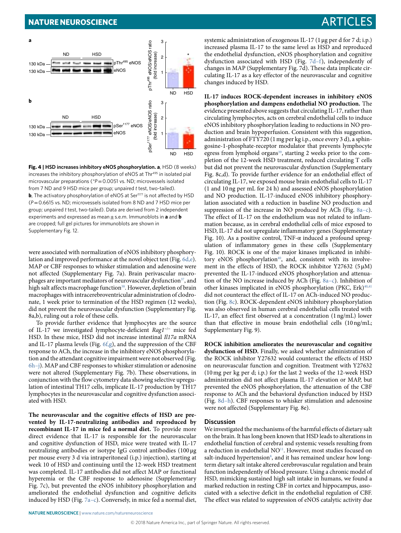

<span id="page-4-0"></span>**Fig. 4 | HSD increases inhibitory eNOS phosphorylation. a**, HSD (8 weeks) increases the inhibitory phosphorylation of eNOS at Thr<sup>495</sup> in isolated pial microvascular preparations ( $P = 0.0051$  vs. ND; microvessels isolated from 7 ND and 9 HSD mice per group; unpaired *t* test, two-tailed). **b**, The activatory phosphorylation of eNOS at Ser<sup>1177</sup> is not affected by HSD (*P*= 0.6615 vs. ND; microvessels isolated from 8 ND and 7 HSD mice per group; unpaired *t* test, two-tailed). Data are derived from 2 independent experiments and expressed as mean ± s.e.m. Immunoblots in **a** and **b** are cropped; full gel pictures for immunoblots are shown in Supplementary Fig. 12.

were associated with normalization of eNOS inhibitory phosphorylation and improved performance at the novel object test (Fig. [6d,e](#page-6-0)). MAP or CBF responses to whisker stimulation and adenosine were not affected (Supplementary Fig. 7a). Brain perivascular macrophages are important mediators of neurovascular dysfunction $37$ , and high salt affects macrophage function<sup>38</sup>. However, depletion of brain macrophages with intracerebroventricular administration of clodronate, 1 week prior to termination of the HSD regimen (12 weeks), did not prevent the neurovascular dysfunction (Supplementary Fig. 8a,b), ruling out a role of these cells.

To provide further evidence that lymphocytes are the source of IL-17 we investigated lymphocyte-deficient *Rag1*<sup>−</sup>/<sup>−</sup> mice fed HSD. In these mice, HSD did not increase intestinal *Il17a* mRNA and IL-17 plasma levels (Fig. [6f,g](#page-6-0)), and the suppression of the CBF response to ACh, the increase in the inhibitory eNOS phosphorylation and the attendant cognitive impairment were not observed (Fig.  $6h$ –j). MAP and CBF responses to whisker stimulation or adenosine were not altered (Supplementary Fig. 7b). These observations, in conjunction with the flow cytometry data showing selective upregulation of intestinal TH17 cells, implicate IL-17 production by TH17 lymphocytes in the neurovascular and cognitive dysfunction associated with HSD.

**The neurovascular and the cognitive effects of HSD are prevented by IL-17-neutralizing antibodies and reproduced by recombinant IL-17 in mice fed a normal diet.** To provide more direct evidence that IL-17 is responsible for the neurovascular and cognitive dysfunction of HSD, mice were treated with IL-17 neutralizing antibodies or isotype IgG control antibodies (100 μg per mouse every 3 d via intraperitoneal (i.p.) injection), starting at week 10 of HSD and continuing until the 12-week HSD treatment was completed. IL-17 antibodies did not affect MAP or functional hyperemia or the CBF response to adenosine (Supplementary Fig. 7c), but prevented the eNOS inhibitory phosphorylation and ameliorated the endothelial dysfunction and cognitive deficits induced by HSD (Fig. [7a–c](#page-7-0)). Conversely, in mice fed a normal diet,

systemic administration of exogenous IL-17 (1μg per d for 7 d; i.p.) increased plasma IL-17 to the same level as HSD and reproduced the endothelial dysfunction, eNOS phosphorylation and cognitive dysfunction associated with HSD (Fig. [7d–f\)](#page-7-0), independently of changes in MAP (Supplementary Fig. 7d). These data implicate circulating IL-17 as a key effector of the neurovascular and cognitive changes induced by HSD.

**IL-17 induces ROCK-dependent increases in inhibitory eNOS phosphorylation and dampens endothelial NO production.** The evidence presented above suggests that circulating IL-17, rather than circulating lymphocytes, acts on cerebral endothelial cells to induce eNOS inhibitory phosphorylation leading to reductions in NO production and brain hypoperfusion. Consistent with this suggestion, administration of FTY720 (1mg per kg i.p., once every 3 d), a sphingosine-1-phosphate-receptor modulator that prevents lymphocyte egress from lymphoid organs<sup>39</sup>, starting 2 weeks prior to the completion of the 12-week HSD treatment, reduced circulating T cells but did not prevent the neurovascular dysfunction (Supplementary Fig. 8c,d). To provide further evidence for an endothelial effect of circulating IL-17, we exposed mouse brain endothelial cells to IL-17 (1 and 10ng per mL for 24 h) and assessed eNOS phosphorylation and NO production. IL-17-induced eNOS inhibitory phosphorylation associated with a reduction in baseline NO production and suppression of the increase in NO produced by ACh (Fig. [8a–c](#page-8-9)). The effect of IL-17 on the endothelium was not related to inflammation because, as in cerebral endothelial cells of mice exposed to HSD, IL-17 did not upregulate inflammatory genes (Supplementary Fig. 10). As a positive control, TNF- $\alpha$  induced a profound upregulation of inflammatory genes in these cells (Supplementary Fig. 10). ROCK is one of the major kinases implicated in inhibitory eNOS phosphorylation<sup>40</sup>, and, consistent with its involvement in the effects of HSD, the ROCK inhibitor Y27632 (5μM) prevented the IL-17-induced eNOS phosphorylation and attenuation of the NO increase induced by ACh (Fig. [8a–c\)](#page-8-9). Inhibition of other kinases implicated in eNOS phosphorylation (PKC, Erk)<sup>40,[41](#page-9-31)</sup> did not counteract the effect of IL-17 on ACh-induced NO production (Fig. [8c\)](#page-8-9). ROCK-dependent eNOS inhibitory phosphorylation was also observed in human cerebral endothelial cells treated with IL-17, an effect first observed at a concentration (1ng/mL) lower than that effective in mouse brain endothelial cells (10ng/mL; Supplementary Fig. 9).

**ROCK inhibition ameliorates the neurovascular and cognitive dysfunction of HSD.** Finally, we asked whether administration of the ROCK inhibitor Y27632 would counteract the effects of HSD on neurovascular function and cognition. Treatment with Y27632 (10mg per kg per d; i.p.) for the last 2 weeks of the 12-week HSD administration did not affect plasma IL-17 elevation or MAP, but prevented the eNOS phosphorylation, the attenuation of the CBF response to ACh and the behavioral dysfunction induced by HSD (Fig. [8d–h\)](#page-8-9). CBF responses to whisker stimulation and adenosine were not affected (Supplementary Fig. 8e).

#### **Discussion**

We investigated the mechanisms of the harmful effects of dietary salt on the brain. It has long been known that HSD leads to alterations in endothelial function of cerebral and systemic vessels resulting from a reduction in endothelial NO<sup>11</sup>. However, most studies focused on salt-induced hypertension<sup>8</sup>, and it has remained unclear how longterm dietary salt intake altered cerebrovascular regulation and brain function independently of blood pressure. Using a chronic model of HSD, mimicking sustained high salt intake in humans, we found a marked reduction in resting CBF in cortex and hippocampus, associated with a selective deficit in the endothelial regulation of CBF. The effect was related to suppression of eNOS catalytic activity due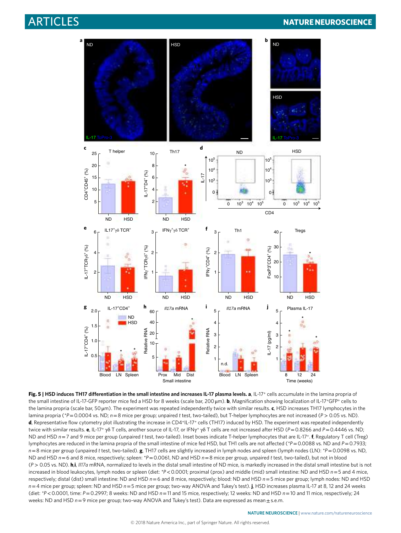# **ARTICLES NATURE NEUROSCIENCE**



<span id="page-5-0"></span>**Fig. 5 | HSD induces TH17 differentiation in the small intestine and increases IL-17 plasma levels. a**, IL-17+ cells accumulate in the lamina propria of the small intestine of IL-17-GFP reporter mice fed a HSD for 8 weeks (scale bar, 200μm). **b**, Magnification showing localization of IL-17+GFP+ cells to the lamina propria (scale bar, 50 μm). The experiment was repeated independently twice with similar results. **c**, HSD increases TH17 lymphocytes in the lamina propria (\*P=0.0004 vs. ND;  $n = 8$  mice per group; unpaired *t* test, two-tailed), but T-helper lymphocytes are not increased (P > 0.05 vs. ND). **d**, Representative flow cytometry plot illustrating the increase in CD4+IL-17+ cells (TH17) induced by HSD. The experiment was repeated independently twice with similar results. **e**, IL-17<sup>+</sup> γδ T cells, another source of IL-17, or IFNγ+ γδ T cells are not increased after HSD (*P*= 0.8266 and *P*= 0.4446 vs. ND; ND and HSD *n*= 7 and 9 mice per group (unpaired *t* test, two-tailed). Inset boxes indicate T-helper lymphocytes that are IL-17+. **f**, Regulatory T cell (Treg) lymphocytes are reduced in the lamina propria of the small intestine of mice fed HSD, but TH1 cells are not affected (*\*P*= 0.0088 vs. ND and *P*= 0.7933; *n*= 8 mice per group (unpaired *t* test, two-tailed). **g**, TH17 cells are slightly increased in lymph nodes and spleen (lymph nodes (LN): *\*P*= 0.0098 vs. ND, ND and HSD *n*= 6 and 8 mice, respectively; spleen: *\*P*= 0.0061, ND and HSD *n*= 8 mice per group, unpaired *t* test, two-tailed), but not in blood (*P* > 0.05 vs. ND). **h**,**i**, *Il17a* mRNA, normalized to levels in the distal small intestine of ND mice, is markedly increased in the distal small intestine but is not increased in blood leukocytes, lymph nodes or spleen (diet: *\*P*< 0.0001; proximal (prox) and middle (mid) small intestine: ND and HSD *n*= 5 and 4 mice, respectively; distal (dist) small intestine: ND and HSD *n*= 6 and 8 mice, respectively; blood: ND and HSD *n*= 5 mice per group; lymph nodes: ND and HSD *n*= 4 mice per group; spleen: ND and HSD *n*= 5 mice per group; two-way ANOVA and Tukey's test). **j**, HSD increases plasma IL-17 at 8, 12 and 24 weeks (diet: *\*P*< 0.0001, time: *P*= 0.2997; 8 weeks: ND and HSD *n*= 11 and 15 mice, respectively; 12 weeks: ND and HSD *n*= 10 and 11 mice, respectively; 24 weeks: ND and HSD  $n=9$  mice per group; two-way ANOVA and Tukey's test). Data are expressed as mean  $\pm$  s.e.m.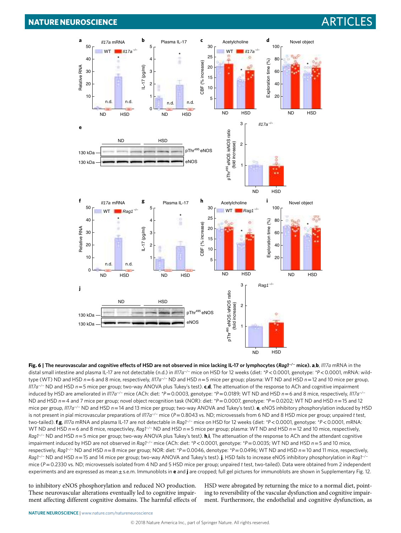

<span id="page-6-0"></span>**Fig. 6 | The neurovascular and cognitive effects of HSD are not observed in mice lacking IL-17 or lymphocytes (***Rag1***−/− mice). a**,**b**, *Il17a* mRNA in the distal small intestine and plasma IL-17 are not detectable (n.d.) in *Il17a*−/− mice on HSD for 12 weeks (diet: *\*P*< 0.0001, genotype: *\*P*< 0.0001, mRNA: wildtype (WT) ND and HSD *n*= 6 and 8 mice, respectively, *Il17a*−/− ND and HSD *n*= 5 mice per group; plasma: WT ND and HSD *n*= 12 and 10 mice per group, *Il17a*−/− ND and HSD *n*= 5 mice per group; two-way ANOVA plus Tukey's test). **c**,**d**, The attenuation of the response to ACh and cognitive impairment induced by HSD are ameliorated in *Il17a*−/− mice (ACh: diet: *\*P*= 0.0003, genotype: *\*P*= 0.0189; WT ND and HSD *n*= 6 and 8 mice, respectively, *Il17a*−/<sup>−</sup> ND and HSD *n*= 4 and 7 mice per group; novel object recognition task (NOR): diet: *\*P*= 0.0007, genotype: *\*P*= 0.0202; WT ND and HSD *n*= 15 and 12 mice per group, *Il17a*−/− ND and HSD *n*= 14 and 13 mice per group; two-way ANOVA and Tukey's test). **e**, eNOS inhibitory phosphorylation induced by HSD is not present in pial microvascular preparations of *Il17a*−/− mice (*P*= 0.8043 vs. ND; microvessels from 6 ND and 8 HSD mice per group; unpaired *t* test, two-tailed). **f**,**g**, *Il17a* mRNA and plasma IL-17 are not detectable in *Rag1*−/− mice on HSD for 12 weeks (diet: *\*P*< 0.0001, genotype: *\*P*< 0.0001, mRNA: WT ND and HSD *n* = 6 and 8 mice, respectivley, *Rag1*<sup>−/</sup>− ND and HSD *n* = 5 mice per group; plasma: WT ND and HSD *n* = 12 and 10 mice, respectively, *Rag1*−/− ND and HSD *n*= 5 mice per group; two-way ANOVA plus Tukey's test). **h**,**i**, The attenuation of the response to ACh and the attendant cognitive impairment induced by HSD are not observed in *Rag1*−/− mice (ACh: diet: *\*P*< 0.0001, genotype: *\*P*= 0.0035; WT ND and HSD *n*= 5 and 10 mice, respectively, *Rag1*−/− ND and HSD *n*= 8 mice per group; NOR: diet: *\*P*= 0.0046, denotype: *\*P*= 0.0496; WT ND and HSD *n*= 10 and 11 mice, respectively, *Rag1*−/− ND and HSD *n*= 15 and 14 mice per group; two-way ANOVA and Tukey's test). **j**, HSD fails to increase eNOS inhibitory phosphorylation in *Rag1*−/<sup>−</sup> mice (*P*= 0.2330 vs. ND; microvessels isolated from 4 ND and 5 HSD mice per group; unpaired *t* test, two-tailed). Data were obtained from 2 independent experiments and are expressed as mean ± s.e.m. Immunoblots in **e** and **j** are cropped; full gel pictures for immunoblots are shown in Supplementary Fig. 12.

to inhibitory eNOS phosphorylation and reduced NO production. These neurovascular alterations eventually led to cognitive impairment affecting different cognitive domains. The harmful effects of HSD were abrogated by returning the mice to a normal diet, pointing to reversibility of the vascular dysfunction and cognitive impairment. Furthermore, the endothelial and cognitive dysfunction, as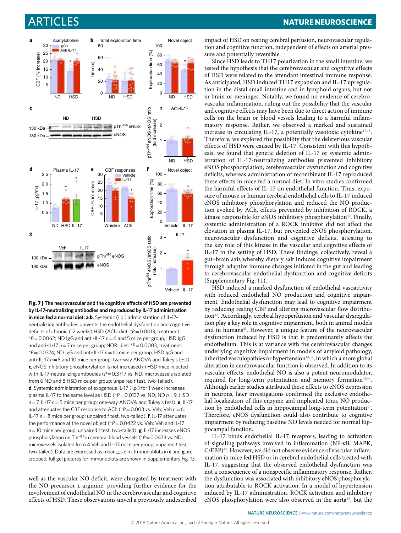

<span id="page-7-0"></span>**Fig. 7 | The neurovascular and the cognitive effects of HSD are prevented by IL-17-neutralizing antibodies and reproduced by IL-17 administration in mice fed a normal diet. a**,**b**, Systemic (i.p.) administration of IL-17 neutralizing antibodies prevents the endothelial dysfunction and cognitive deficits of chronic (12 weeks) HSD (ACh: diet: *\*P*= 0.0013, treatment: *\*P*= 0.0062; ND IgG and anti-IL-17 *n*= 6 and 5 mice per group, HSD IgG and anti-IL-17 *n*= 7 mice per group; NOR: diet: *\*P*= 0.0003, treatment: *\*P*= 0.0374; ND IgG and anti-IL-17 *n*= 10 mice per group, HSD IgG and anti-IL-17 *n*= 8 and 10 mice per group; two-way ANOVA and Tukey's test). **c**, eNOS inhibitory phosphorylation is not increased in HSD mice injected with IL-17-neutralizing antibodies ( $P$  = 0.3717 vs. ND; microvessels isolated from 6 ND and 8 HSD mice per group; unpaired *t* test, two-tailed). **d**, Systemic administration of exogenous IL-17 (i.p.) for 1 week increases plasma IL-17 to the same level as HSD (*\*P*= 0.0137 vs. ND; ND *n*= 9, HSD *n*= 7, IL-17 *n*= 5 mice per group; one-way ANOVA and Tukey's test). **e**, IL-17 and attenuates the CBF response to ACh (*\*P*= 0.003 vs. Veh; Veh *n*= 6, IL-17 *n*= 8 mice per group; unpaired *t* test, two-tailed). **f**, IL-17 attenuates the performance at the novel object (\*P = 0.0422 vs. Veh; Veh and IL-17 *n*= 10 mice per group; unpaired *t* test, two-tailed). **g**, IL-17 increases eNOS phosphorylation on Thr<sup>495</sup> in cerebral blood vessels (\* $P = 0.0473$  vs. ND; microvessels isolated from 4 Veh and IL-17 mice per group; unpaired *t* test, two-tailed). Data are expressed as mean ± s.e.m. Immunoblots in **c** and **g** are cropped; full gel pictures for immunoblots are shown in Supplementary Fig. 13.

well as the vascular NO deficit, were abrogated by treatment with the NO precursor l-arginine, providing further evidence for the involvement of endothelial NO in the cerebrovascular and cognitive effects of HSD. These observations unveil a previously undescribed

# Articles **NATuRe NeuRosCIenCe**

impact of HSD on resting cerebral perfusion, neurovascular regulation and cognitive function, independent of effects on arterial pressure and potentially reversible.

Since HSD leads to TH17 polarization in the small intestine, we tested the hypothesis that the cerebrovascular and cognitive effects of HSD were related to the attendant intestinal immune response. As anticipated, HSD induced TH17 expansion and IL-17 upregulation in the distal small intestine and in lymphoid organs, but not in brain or meninges. Notably, we found no evidence of cerebrovascular inflammation, ruling out the possibility that the vascular and cognitive effects may have been due to direct action of immune cells on the brain or blood vessels leading to a harmful inflammatory response. Rather, we observed a marked and sustained increase in circulating IL-[17](#page-9-7), a potentially vasotoxic cytokine $17,18$ . Therefore, we explored the possibility that the deleterious vascular effects of HSD were caused by IL-17. Consistent with this hypothesis, we found that genetic deletion of IL-17 or systemic administration of IL-17-neutralizing antibodies prevented inhibitory eNOS phosphorylation, cerebrovascular dysfunction and cognitive deficits, whereas administration of recombinant IL-17 reproduced these effects in mice fed a normal diet. In vitro studies confirmed the harmful effects of IL-17 on endothelial function. Thus, exposure of mouse or human cerebral endothelial cells to IL-17 induced eNOS inhibitory phosphorylation and reduced the NO production evoked by ACh, effects prevented by inhibition of ROCK, a kinase responsible for eNOS inhibitory phosphorylation<sup>40</sup>. Finally, systemic administration of a ROCK inhibitor did not affect the elevation in plasma IL-17, but prevented eNOS phosphorylation, neurovascular dysfunction and cognitive deficits, attesting to the key role of this kinase in the vascular and cognitive effects of IL-17 in the setting of HSD. These findings, collectively, reveal a gut–brain axis whereby dietary salt induces cognitive impairment through adaptive immune changes initiated in the gut and leading to cerebrovascular endothelial dysfunction and cognitive deficits (Supplementary Fig. 11).

HSD induced a marked dysfunction of endothelial vasoactivity with reduced endothelial NO production and cognitive impairment. Endothelial dysfunction may lead to cognitive impairment by reducing resting CBF and altering microvascular flow distribution<sup>42</sup>. Accordingly, cerebral hypoperfusion and vascular dysregulation play a key role in cognitive impairment, both in animal models and in humans<sup>43</sup>. However, a unique feature of the neurovascular dysfunction induced by HSD is that it predominantly affects the endothelium. This is at variance with the cerebrovascular changes underlying cognitive impairment in models of amyloid pathology, inherited vasculopathies or hypertension $14,37$ , in which a more global alteration in cerebrovascular function is observed. In addition to its vascular effects, endothelial NO is also a potent neuromodulator, required for long-term potentiation and memory formation<sup>[42](#page-9-32),44</sup>. Although earlier studies attributed these effects to eNOS expression in neurons, later investigations confirmed the exclusive endothelial localization of this enzyme and implicated tonic NO production by endothelial cells in hippocampal long-term potentiation<sup>44</sup>. Therefore, eNOS dysfunction could also contribute to cognitive impairment by reducing baseline NO levels needed for normal hippocampal function.

IL-17 binds endothelial IL-17 receptors, leading to activation of signaling pathways involved in inflammation (NF-κB, MAPK, C/EBP)<sup>45</sup>. However, we did not observe evidence of vascular inflammation in mice fed HSD or in cerebral endothelial cells treated with IL-17, suggesting that the observed endothelial dysfunction was not a consequence of a nonspecific inflammatory response. Rather, the dysfunction was associated with inhibitory eNOS phosphorylation attributable to ROCK activation. In a model of hypertension induced by IL-17 administration, ROCK activation and inhibitory eNOS phosphorylation were also observed in the aorta<sup>[18](#page-9-8)</sup>, but the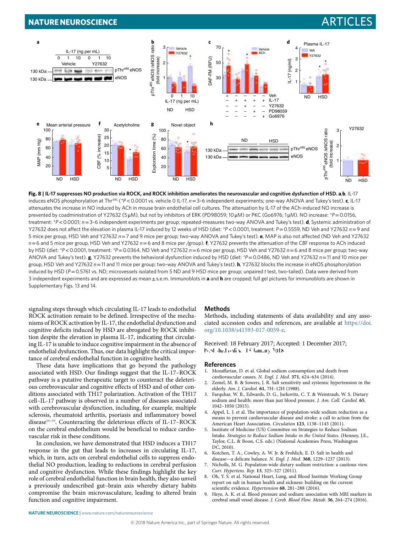## **NATURE NEUROSCIENCE** And the second second second second second second second second second second second second second second second second second second second second second second second second second second second sec



<span id="page-8-9"></span>**Fig. 8 | IL-17 suppresses NO production via ROCK, and ROCK inhibition ameliorates the neurovascular and cognitive dysfunction of HSD. a**,**b**, IL-17 induces eNOS phosphorylation at Thr495 (*\*P*< 0.0001 vs. vehicle 0 IL-17, *n*= 3–6 independent experiments; one-way ANOVA and Tukey's test). **c**, IL-17 attenuates the increase in NO induced by ACh in mouse brain endothelial cell cultures. The attenuation by IL-17 of the ACh-induced NO increase is prevented by coadministration of Y27632 (5 μM), but not by inhibitors of ERK (PD98059; 10 μM) or PKC (Go6976; 1 μM). NO increase: *\*P*= 0.0156, treatment: *\*P*< 0.0001; *n*= 3–6 independent experiments per group; repeated-measures two-way ANOVA and Tukey's test). **d**, Systemic administration of Y27632 does not affect the elevation in plasma IL-17 induced by 12 weeks of HSD (diet: *\*P*< 0.0001, treatment: *P*= 0.5559, ND Veh and Y27632 *n*= 9 and 5 mice per group, HSD Veh and Y27632 *n*= 7 and 9 mice per group; two-way ANOVA and Tukey's test). **e**, MAP is also not affected (ND Veh and Y27632 *n*= 6 and 5 mice per group, HSD Veh and Y27632 *n*= 6 and 8 mice per /group). **f**, Y27632 prevents the attenuation of the CBF response to ACh induced by HSD (diet: *\*P*< 0.0001, treatment: *\*P*= 0.0364, ND Veh and Y27632 *n*= 6 mice per group, HSD Veh and Y27632 *n*= 6 and 8 mice per group; two-way ANOVA and Tukey's test). **g**, Y27632 prevents the behavioral dysfunction induced by HSD (diet: *\*P*= 0.0486, ND Veh and Y27632 *n*= 11 and 10 mice per group, HSD Veh and Y27632 *n*= 11 and 11 mice per group; two-way ANOVA and Tukey's test). **h**, Y27632 blocks the increase in eNOS phosphorylation induced by HSD (*P*= 0.5761 vs. ND; microvessels isolated from 5 ND and 9 HSD mice per group; unpaired *t* test, two-tailed). Data were derived from 3 independent experiments and are expressed as mean ± s.e.m. Immunoblots in **a** and **h** are cropped; full gel pictures for immunoblots are shown in Supplementary Figs. 13 and 14.

signaling steps through which circulating IL-17 leads to endothelial ROCK activation remain to be defined. Irrespective of the mechanisms of ROCK activation by IL-17, the endothelial dysfunction and cognitive deficits induced by HSD are abrogated by ROCK inhibition despite the elevation in plasma IL-17, indicating that circulating IL-17 is unable to induce cognitive impairment in the absence of endothelial dysfunction. Thus, our data highlight the critical importance of cerebral endothelial function in cognitive health.

These data have implications that go beyond the pathology associated with HSD. Our findings suggest that the IL-17–ROCK pathway is a putative therapeutic target to counteract the deleterious cerebrovascular and cognitive effects of HSD and of other conditions associated with TH17 polarization. Activation of the TH17 cell–IL-17 pathway is observed in a number of diseases associated with cerebrovascular dysfunction, including, for example, multiple sclerosis, rheumatoid arthritis, psoriasis and inflammatory bowel disease<sup>[46](#page-9-36)-[49](#page-9-37)</sup>. Counteracting the deleterious effects of IL-17-ROCK on the cerebral endothelium would be beneficial to reduce cardiovascular risk in these conditions.

In conclusion, we have demonstrated that HSD induces a TH17 response in the gut that leads to increases in circulating IL-17, which, in turn, acts on cerebral endothelial cells to suppress endothelial NO production, leading to reductions in cerebral perfusion and cognitive dysfunction. While these findings highlight the key role of cerebral endothelial function in brain health, they also unveil a previously undescribed gut–brain axis whereby dietary habits compromise the brain microvasculature, leading to altered brain function and cognitive impairment.

#### **Methods**

Methods, including statements of data availability and any associated accession codes and references, are available at [https://doi.](https://doi.org/10.1038/s41593-017-0059-z) [org/10.1038/s41593-017-0059-z.](https://doi.org/10.1038/s41593-017-0059-z)

Received: 18 February 2017; Accepted: 1 December 2017; Published: xx xx 3x xxxxxxxx 3x18

#### **References**

- <span id="page-8-0"></span>1. Mozafarian, D. et al. Global sodium consumption and death from cardiovascular causes. *N. Engl. J. Med.* **371**, 624–634 (2014).
- <span id="page-8-1"></span>2. Zemel, M. B. & Sowers, J. R. Salt sensitivity and systemic hypertension in the elderly. *Am. J. Cardiol.* **61**, 7H–12H (1988).
- <span id="page-8-2"></span>3. Farquhar, W. B., Edwards, D. G., Jurkovitz, C. T. & Weintraub, W. S. Dietary sodium and health: more than just blood pressure. *J. Am. Coll. Cardiol.* **65**, 1042–1050 (2015).
- <span id="page-8-3"></span>4. Appel, L. J. et al. The importance of population-wide sodium reduction as a means to prevent cardiovascular disease and stroke: a call to action from the American Heart Association. *Circulation* **123**, 1138–1143 (2011).
- <span id="page-8-4"></span>5. Institute of Medicine (US) Committee on Strategies to Reduce Sodium Intake. *Strategies to Reduce Sodium Intake in the United States*. (Henney, J.E., Taylor, C.L. & Boon, C.S. eds.) (National Academies Press, Washington DC, 2010).
- <span id="page-8-5"></span>6. Kotchen, T. A., Cowley, A. W. Jr. & Frohlich, E. D. Salt in health and disease—a delicate balance. *N. Engl. J. Med.* **368**, 1229–1237 (2013).
- <span id="page-8-6"></span>Nicholls, M. G. Population-wide dietary sodium restriction: a cautious view. *Curr. Hypertens. Rep.* **13**, 325–327 (2011).
- <span id="page-8-7"></span>8. Oh, Y. S. et al. National Heart, Lung, and Blood Institute Working Group report on salt in human health and sickness: building on the current scientifc evidence. *Hypertension* **68**, 281–288 (2016).
- <span id="page-8-8"></span>9. Heye, A. K. et al. Blood pressure and sodium: association with MRI markers in cerebral small vessel disease. *J. Cereb. Blood Flow. Metab.* **36**, 264–274 (2016).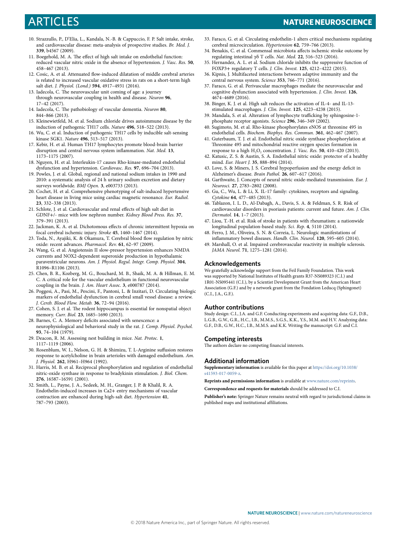# Articles **NATuRe NeuRosCIenCe**

- <span id="page-9-0"></span>10. Strazzullo, P., D'Elia, L., Kandala, N.-B. & Cappuccio, F. P. Salt intake, stroke, and cardiovascular disease: meta-analysis of prospective studies. *Br. Med. J.* **339**, b4567 (2009).
- <span id="page-9-1"></span>11. Boegehold, M. A. The effect of high salt intake on endothelial function: reduced vascular nitric oxide in the absence of hypertension. *J. Vasc. Res.* **50**, 458–467 (2013).
- <span id="page-9-2"></span>12. Cosic, A. et al. Attenuated fow-induced dilatation of middle cerebral arteries is related to increased vascular oxidative stress in rats on a short-term high salt diet. *J. Physiol. (Lond.)* **594**, 4917–4931 (2016).
- <span id="page-9-3"></span>13. Iadecola, C. The neurovascular unit coming of age: a journey through neurovascular coupling in health and disease. *Neuron* **96**, 17–42 (2017).
- <span id="page-9-4"></span>14. Iadecola, C. The pathobiology of vascular dementia. *Neuron* 80, 844–866 (2013).
- <span id="page-9-5"></span>15. Kleinewietfeld, M. et al. Sodium chloride drives autoimmune disease by the induction of pathogenic TH17 cells. *Nature* **496**, 518–522 (2013).
- <span id="page-9-6"></span>16. Wu, C. et al. Induction of pathogenic TH17 cells by inducible salt-sensing kinase SGK1. *Nature* **496**, 513–517 (2013).
- <span id="page-9-7"></span>17. Kebir, H. et al. Human TH17 lymphocytes promote blood-brain barrier disruption and central nervous system infammation. *Nat. Med.* **13**, 1173–1175 (2007).
- <span id="page-9-8"></span>18. Nguyen, H. et al. Interleukin-17 causes Rho-kinase-mediated endothelial dysfunction and hypertension. *Cardiovasc. Res.* **97**, 696–704 (2013).
- <span id="page-9-9"></span>19. Powles, J. et al. Global, regional and national sodium intakes in 1990 and 2010: a systematic analysis of 24 h urinary sodium excretion and dietary surveys worldwide. *BMJ Open.* **3**, e003733 (2013).
- <span id="page-9-10"></span>20. Cochet, H. et al. Comprehensive phenotyping of salt-induced hypertensive heart disease in living mice using cardiac magnetic resonance. *Eur. Radiol.* **23**, 332–338 (2013).
- <span id="page-9-11"></span>21. Schlote, J. et al. Cardiovascular and renal efects of high salt diet in GDNF+/- mice with low nephron number. *Kidney Blood Press. Res.* **37**, 379–391 (2013).
- <span id="page-9-12"></span>22. Jackman, K. A. et al. Dichotomous efects of chronic intermittent hypoxia on focal cerebral ischemic injury. *Stroke* **45**, 1460–1467 (2014).
- <span id="page-9-13"></span>23. Toda, N., Ayajiki, K. & Okamura, T. Cerebral blood fow regulation by nitric oxide: recent advances. *Pharmacol. Rev.* **61**, 62–97 (2009).
- <span id="page-9-14"></span>24. Wang, G. et al. Angiotensin II slow-pressor hypertension enhances NMDA currents and NOX2-dependent superoxide production in hypothalamic paraventricular neurons. *Am. J. Physiol. Regul. Integr. Comp. Physiol.* **304**, R1096–R1106 (2013).
- <span id="page-9-15"></span>25. Chen, B. R., Kozberg, M. G., Bouchard, M. B., Shaik, M. A. & Hillman, E. M. C. A critical role for the vascular endothelium in functional neurovascular coupling in the brain. *J. Am. Heart Assoc.* **3**, e000787 (2014).
- <span id="page-9-16"></span>26. Poggesi, A., Pasi, M., Pescini, F., Pantoni, L. & Inzitari, D. Circulating biologic markers of endothelial dysfunction in cerebral small vessel disease: a review. *J. Cereb. Blood Flow. Metab.* **36**, 72–94 (2016).
- <span id="page-9-17"></span>27. Cohen, S. J. et al. The rodent hippocampus is essential for nonspatial object memory. *Curr. Biol.* **23**, 1685–1690 (2013).
- <span id="page-9-18"></span>28. Barnes, C. A. Memory deficits associated with senescence: a neurophysiological and behavioral study in the rat. *J. Comp. Physiol. Psychol.* **93**, 74–104 (1979).
- <span id="page-9-19"></span>29. Deacon, R. M. Assessing nest building in mice. *Nat. Protoc.* **1**, 1117–1119 (2006).
- <span id="page-9-20"></span>30. Rosenblum, W. I., Nelson, G. H. & Shimizu, T. L-Arginine sufusion restores response to acetylcholine in brain arterioles with damaged endothelium. *Am. J. Physiol.* **262**, H961–H964 (1992).
- <span id="page-9-21"></span>31. Harris, M. B. et al. Reciprocal phosphorylation and regulation of endothelial nitric-oxide synthase in response to bradykinin stimulation. *J. Biol. Chem.* **276**, 16587–16591 (2001).
- <span id="page-9-22"></span>32. Smith, L., Payne, J. A., Sedeek, M. H., Granger, J. P. & Khalil, R. A. Endothelin-induced increases in Ca2+ entry mechanisms of vascular contraction are enhanced during high-salt diet. *Hypertension* **41**, 787–793 (2003).
- <span id="page-9-23"></span>33. Faraco, G. et al. Circulating endothelin-1 alters critical mechanisms regulating cerebral microcirculation. *Hypertension* **62**, 759–766 (2013).
- <span id="page-9-24"></span>34. Benakis, C. et al. Commensal microbiota afects ischemic stroke outcome by regulating intestinal γδ T cells. *Nat. Med.* **22**, 516–523 (2016).
- <span id="page-9-25"></span>35. Hernandez, A. L. et al. Sodium chloride inhibits the suppressive function of FOXP3+ regulatory T cells. *J. Clin. Invest.* **125**, 4212–4222 (2015).
- <span id="page-9-26"></span>36. Kipnis, J. Multifaceted interactions between adaptive immunity and the central nervous system. *Science* **353**, 766–771 (2016).
- <span id="page-9-27"></span>37. Faraco, G. et al. Perivascular macrophages mediate the neurovascular and cognitive dysfunction associated with hypertension. *J. Clin. Invest.* **126**, 4674–4689 (2016).
- <span id="page-9-28"></span>38. Binger, K. J. et al. High salt reduces the activation of IL-4- and IL-13 stimulated macrophages. *J. Clin. Invest.* **125**, 4223–4238 (2015).
- <span id="page-9-29"></span>39. Mandala, S. et al. Alteration of lymphocyte trafficking by sphingosine-1phosphate receptor agonists. *Science* **296**, 346–349 (2002).
- <span id="page-9-30"></span>40. Sugimoto, M. et al. Rho-kinase phosphorylates eNOS at threonine 495 in endothelial cells. *Biochem. Biophys. Res. Commun.* **361**, 462–467 (2007).
- <span id="page-9-31"></span>41. Guterbaum, T. J. et al. Endothelial nitric oxide synthase phosphorylation at Threonine 495 and mitochondrial reactive oxygen species formation in response to a high  $H_2O_2$  concentration. *J. Vasc. Res.* 50, 410-420 (2013).
- <span id="page-9-32"></span>42. Katusic, Z. S. & Austin, S. A. Endothelial nitric oxide: protector of a healthy mind. *Eur. Heart J.* **35**, 888–894 (2014).
- <span id="page-9-33"></span>43. Love, S. & Miners, J. S. Cerebral hypoperfusion and the energy defcit in Alzheimer's disease. *Brain Pathol.* **26**, 607–617 (2016).
- <span id="page-9-34"></span>44. Garthwaite, J. Concepts of neural nitric oxide-mediated transmission. *Eur. J. Neurosci.* **27**, 2783–2802 (2008).
- <span id="page-9-35"></span>45. Gu, C., Wu, L. & Li, X. IL-17 family: cytokines, receptors and signaling. *Cytokine* **64**, 477–485 (2013).
- <span id="page-9-36"></span>46. Tablazon, I. L. D., Al-Dabagh, A., Davis, S. A. & Feldman, S. R. Risk of cardiovascular disorders in psoriasis patients: current and future. *Am. J. Clin. Dermatol.* **14**, 1–7 (2013).
- 47. Liou, T.-H. et al. Risk of stroke in patients with rheumatism: a nationwide longitudinal population-based study. *Sci. Rep.* **4**, 5110 (2014).
- 48. Ferro, J. M., Oliveira, S. N. & Correia, L. Neurologic manifestations of infammatory bowel diseases. *Handb. Clin. Neurol.* **120**, 595–605 (2014).
- <span id="page-9-37"></span>49. Marshall, O. et al. Impaired cerebrovascular reactivity in multiple sclerosis. *JAMA Neurol.* **71**, 1275–1281 (2014).

#### **Acknowledgements**

We gratefully acknowledge support from the Feil Family Foundation. This work was supported by National Institutes of Health grants R37-NS089323 (C.I.) and 1R01-NS095441 (C.I.), by a Scientist Development Grant from the American Heart Association (G.F.) and by a network grant from the Fondation Leducq (Sphingonet) (C.I., J.A., G.F.).

#### **Author contributions**

Study design: C.I., J.A. and G.F. Conducting experiments and acquiring data: G.F., D.B., L.G.B., G.W., G.R., H.C., I.B., M.M.S., S.G.S., K.K., Y.S., M.M. and H.V. Analyzing data: G.F., D.B., G.W., H.C., I.B., M.M.S. and K.K. Writing the manuscript: G.F. and C.I.

#### **Competing interests**

The authors declare no competing financial interests.

#### **Additional information**

**Supplementary information** is available for this paper at [https://doi.org/10.1038/](https://doi.org/10.1038/s41593-017-0059-z) [s41593-017-0059-z.](https://doi.org/10.1038/s41593-017-0059-z)

**Reprints and permissions information** is available at [www.nature.com/reprints](http://www.nature.com/reprints).

**Correspondence and requests for materials** should be addressed to C.I.

**Publisher's note:** Springer Nature remains neutral with regard to jurisdictional claims in published maps and institutional affiliations.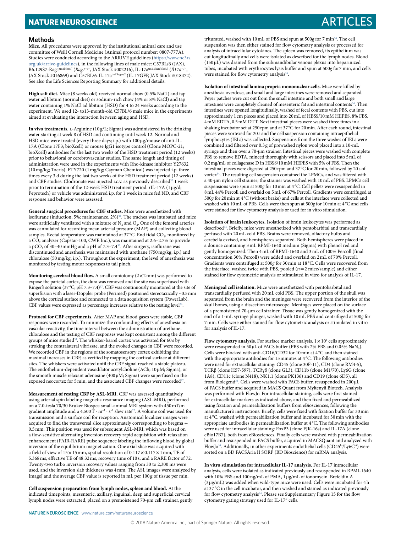# **NATURE NEUROSCIENCE** And the second second second second second second second second second second second second second second second second second second second second second second second second second second second sec

#### **Methods**

**Mice.** All procedures were approved by the institutional animal care and use committee of Weill Cornell Medicine (Animal protocol number: 0807-777A). Studies were conducted according to the ARRIVE guidelines [\(https://www.nc3rs.](https://www.nc3rs.org.uk/arrive-guidelines) [org.uk/arrive-guidelines](https://www.nc3rs.org.uk/arrive-guidelines)), in the following lines of male mice: C57BL/6 (JAX), B6.129S7-Rag1<sup>tm1Mom/J</sup> (*Rag1<sup>-/-</sup>*, JAX Stock #002216), IL-17a<sup>tm1.1(icre)Stck/J</sup> (*Il17a<sup>-/</sup>* JAX Stock #016869) and C57BL/6-IL-17a<sup>tm1Bcgen/J</sup> (IL-17GFP, JAX Stock #018472). See also the Life Sciences Reporting Summary for additional details.

**High salt diet.** Mice (8 weeks old) received normal chow (0.5% NaCl) and tap water ad libitum (normal diet) or sodium-rich chow (4% or 8% NaCl) and tap water containing 1% NaCl ad libitum (HSD) for 4 to 24 weeks according to the experiment. We used 12- to13-month-old C57BL/6 male mice in the experiments aimed at evaluating the interaction between aging and HSD.

In vivo treatments. L-Arginine (10 g/L; Sigma) was administered in the drinking water starting at week 8 of HSD and continuing until week 12. Normal and HSD mice were treated (every three days; i.p.) with 100μg/mouse of anti-IL-17A (Clone 17F3; bioXcell) or mouse IgG1 isotype control (Clone MOPC-21; bioXcell) antibodies for the last two weeks of the HSD treatment period (12 weeks) prior to behavioral or cerebrovascular studies. The same length and timing of administration were used in the experiments with Rho-kinase inhibitor Y27632 (10mg/kg; Tocris). FTY720 (1mg/kg; Cayman Chemical) was injected i.p. three times every 3 d during the last two weeks of the HSD treatment period (12 weeks) and CBF studies. Clodronate was injected i.c.v. as previously described<sup>[37](#page-9-27)</sup> 1 week prior to termination of the 12-week HSD treatment period. rIL-17A (1μg/d; Peprotech) or vehicle was administered i.p. for 1 week in mice fed ND, and CBF response and behavior were assessed.

**General surgical procedures for CBF studies.** Mice were anesthetized with isoflurane (induction, 5%; maintenance,  $2\%)^{37}$  $2\%)^{37}$  $2\%)^{37}$ . The trachea was intubated and mice were artificially ventilated with a mixture of  $N_2$  and  $O_2$ . One of the femoral arteries was cannulated for recording mean arterial pressure (MAP) and collecting blood samples. Rectal temperature was maintained at 37 °C. End tidal CO<sub>2</sub>, monitored by a  $\mathrm{CO}_2$  analyzer (Capstar-100, CWE Inc.), was maintained at 2.6–2.7% to provide a pCO<sub>2</sub> of 30-40 mmHg and a pH of 7.3-7.4<sup>37</sup>. After surgery, isoflurane was discontinued and anesthesia was maintained with urethane (750mg/kg, i.p.) and chloralose (50mg/kg, i.p.). Throughout the experiment, the level of anesthesia was monitored by testing motor responses to tail pinch.

**Monitoring cerebral blood flow.** A small craniotomy  $(2 \times 2 \text{ mm})$  was performed to expose the parietal cortex, the dura was removed and the site was superfused with Ringer's solution (37°C; pH 7.3-7.4)<sup>37</sup>. CBF was continuously monitored at the site of superfusion with a laser-Doppler probe (Perimed) positioned stereotaxically ~0.5mm above the cortical surface and connected to a data acquisition system (PowerLab). CBF values were expressed as percentage increases relative to the resting level<sup>33</sup>

**Protocol for CBF experiments.** After MAP and blood gases were stable, CBF responses were recorded. To minimize the confounding effects of anesthesia on vascular reactivity, the time interval between the administration of urethanechloralose and the testing of CBF responses was kept consistent among the different groups of mice studied<sup>33</sup>. The whisker-barrel cortex was activated for 60 s by stroking the contralateral vibrissae, and the evoked changes in CBF were recorded. We recorded CBF in the regions of the somatosensory cortex exhibiting the maximal increases in CBF, as verified by mapping the cortical surface at different sites. The whiskers were activated until the CBF signal reached a stable plateau. The endothelium-dependent vasodilator acetylcholine (ACh; 10µM; Sigma), or the smooth muscle relaxant adenosine (400µM; Sigma) were superfused on the exposed neocortex for 5 min, and the associated CBF changes were recorded<sup>37</sup>.

**Measurement of resting CBF by ASL-MRI.** CBF was assessed quantitatively using arterial spin labeling magnetic resonance imaging (ASL-MRI), performed on a 7.0-tesla 70/30 Bruker Biospec small-animal MRI system with 450mT/m gradient amplitude and a  $4,500 \, \text{T} \cdot \text{m}^{-1} \cdot \text{s}^{-1}$  slew rate<sup>22</sup>. A volume coil was used for transmission and a surface coil for reception. Anatomical localizer images were acquired to find the transversal slice approximately corresponding to bregma + 0.5mm. This position was used for subsequent ASL-MRI, which was based on a flow-sensitive alternating inversion recovery rapid acquisition with relaxation enhancement (FAIR-RARE) pulse sequence labeling the inflowing blood by global inversion of the equilibrium magnetization. One axial slice was acquired with a field of view of  $15\times15\,\text{mm}$  , spatial resolution of  $0.117\times0.117\times1\,\text{mm}$  , TE of 5.368ms, effective TE of 48.32ms, recovery time of 10 s, and a RARE factor of 72. Twenty-two turbo inversion recovery values ranging from 30 to 2,300 ms were used, and the inversion slab thickness was 4mm. The ASL images were analyzed by ImageJ and the average CBF value is reported in mL per 100 g of tissue per min.

**Cell suspension preparation from lymph nodes, spleen and blood.** At the indicated timepoints, mesenteric, axillary, inguinal, deep and superficial cervical lymph nodes were extracted, placed on a premoistened 70-µm cell strainer, gently triturated, washed with 10mL of PBS and spun at 500*g* for 7 mi[n34](#page-9-24). The cell suspension was then either stained for flow cytometry analysis or processed for analysis of intracellular cytokines. The spleen was removed, its epithelium was cut longitudinally and cells were isolated as described for the lymph nodes. Blood  $(150 \,\mu L)$  was drained from the submandibular venous plexus into heparinized tubes, incubated with erythrocytes lysis buffer and spun at 500*g* for7 min, and cells were stained for flow cytometry analysis<sup>34</sup>.

**Isolation of intestinal lamina propria mononuclear cells.** Mice were killed by anesthesia overdose, and small and large intestines were removed and separated. Peyer patches were cut out from the small intestine and both small and large intestines were completely cleaned of mesenteric fat and intestinal contents<sup>[34](#page-9-24)</sup>. Then intestines were opened longitudinally, washed of fecal contents with PBS, cut into approximately 1cm pieces and placed into 20mL of HBSS/10mM HEPES, 8% FBS, 4mM EDTA, 0.5mM DTT. Next intestinal pieces were washed three times in a shaking incubator set at 250rpm and at 37°C for 20min. After each round, intestinal pieces were vortexed for 20s and the cell suspension containing intraepithelial lymphocytes (IELs) was collected. Suspensions from the three washes of IELs were combined and filtered over 0.3g of prewashed nylon wool placed into a 10-mL syringe and then over a 70-µm strainer. Intestinal pieces were washed with complete PBS to remove EDTA, minced thoroughly with scissors and placed into 5 mL of 0.2mg/mL of collagenase D in HBSS/10mM HEPES with 5% of FBS. Then the intestinal pieces were digested at 250rpm and 37°C for 20min, followed by 20s of vortex<sup>34</sup>. The resulting cell suspension contained the LPMCs, and was filtered with a 40-µm nylon cell strainer; the strainer was washed with 10mL of PBS. LPMCs cell suspensions were spun at 500*g* for 10min at 4°C. Cell pellets were resuspended in 8mL 44% Percoll and overlaid on 5mL of 67% Percoll. Gradients were centrifuged at 500*g* for 20min at 4°C (without brake) and cells at the interface were collected and washed with 10mL of PBS. Cells were then spun at 500*g* for 10min at 4°C and cells were stained for flow cytometry analysis or used for in vitro stimulation.

**Isolation of brain leukocytes.** Isolation of brain leukocytes was performed as described<sup>34</sup>. Briefly, mice were anesthetized with pentobarbital and transcardially perfused with 20mL cold PBS. Brains were removed, olfactory bulbs and cerebella excised, and hemispheres separated. Both hemispheres were placed in a dounce containing 3mL RPMI-1640 medium (Sigma) with phenol red and gently homogenized. Then 4mL of RPMI-1640 and 3mL of 100% Percoll (final concentration 30% Percoll) were added and overlaid on 2mL of 70% Percoll. Gradients were centrifuged at 500*g* for 30min at 18 °C. Cells were recovered from the interface, washed twice with PBS, pooled (*n*=2 mice/sample) and either stained for flow cytometric analysis or stimulated in vitro for analysis of IL-17.

**Meningeal cell isolation.** Mice were anesthetized with pentobarbital and transcardially perfused with 20mL cold PBS. The upper portion of the skull was separated from the brain and the meninges were recovered from the interior of the skull bones, using a dissection microscope. Meninges were placed on the surface of a premoistened 70-μm cell strainer. Tissue was gently homogenized with the end of a 1-mL syringe plunger, washed with 10mL PBS and centrifuged at 500*g* for 7min. Cells were either stained for flow cytometric analysis or stimulated in vitro for analysis of IL-17.

**Flow cytometry analysis.** For surface marker analysis,  $1 \times 10^6$  cells approximately were resuspended in 50 µL of FACS buffer (PBS with 2% FBS and 0.05% NaN<sub>3</sub>). Cells were blocked with anti-CD16/CD32 for 10min at 4°C and then stained with the appropriate antibodies for 15minutes at 4°C. The following antibodies were used for extracellular staining: CD45 (clone 30F-11), CD4 (clone RM4-5), TCRβ (clone H57-597), TCRγδ (clone GL3), CD11b (clone M1/70), Ly6G (clone 1A8), CD11c (clone N418), NK1.1 (clone PK136) and CD19 (clone 6D5), all from Biolegend<sup>34</sup>. Cells were washed with FACS buffer, resuspended in 200 µL of FACS buffer and acquired in MACS Quant from Myltenyii Biotech. Analysis was performed with FlowJo. For intracellular staining, cells were first stained for extracellular markers as indicated above, and then fixed and permeabilized using fixation and permeabilization buffers from eBiosciences, following the manufacturer's instructions. Briefly, cells were fixed with fixation buffer for 30min at 4°C, washed with permeabilization buffer and incubated for 30min with the appropriate antibodies in permeabilization buffer at 4°C. The following antibodies were used for intracellular staining: FoxP3 (clone FJK-16s) and IL-17A (clone eBio17B7), both from eBiosciences. Finally cells were washed with permeabilization buffer and resuspended in FACS buffer, acquired in MACSQuant and analyzed with FlowJo<sup>34</sup>. Additionally, in other experiments endothelial cells (CD45<sup>lo</sup>/Ly6Chi) were sorted on a BD FACSAria II SORP (BD Bioscience) for mRNA analysis.

**In vitro stimulation for intracellular IL-17 analysis.** For IL-17 intracellular analysis, cells were isolated as indicated previously and resuspended in RPMI-1640 with 10% FBS and 100ng/mL of PMA, 1 µg/mL of ionomycin. Brefeldin A (3 µg/mL) was added when wild-type mice were used. Cells were incubated for 4h at 37 °C in the cell incubator, and then washed and stained as indicated previously for flow cytometry analysis<sup>34</sup>. Please see Supplementary Figure 15 for the flow cytometry gating strategy used for IL-17<sup>+</sup> cells.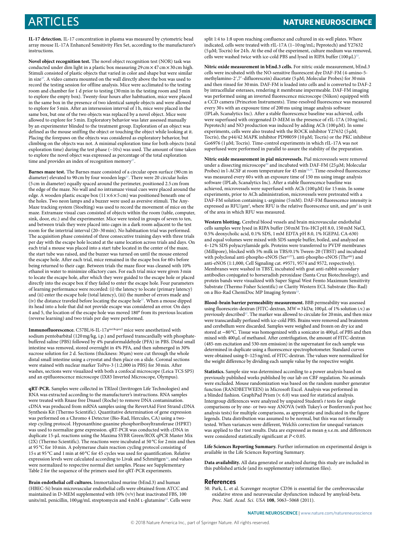**IL-17 detection.** IL-17 concentration in plasma was measured by cytometric bead array mouse IL-17A Enhanced Sensitivity Flex Set, according to the manufacturer's instructions.

**Novel object recognition test.** The novel object recognition test (NOR) task was conducted under dim light in a plastic box measuring  $29 \text{ cm} \times 47 \text{ cm} \times 30 \text{ cm}$  high. Stimuli consisted of plastic objects that varied in color and shape but were similar in size<sup>37</sup>. A video camera mounted on the wall directly above the box was used to record the testing session for offline analysis. Mice were acclimated to the testing room and chamber for 1 d prior to testing (30min in the testing room and 5min to explore the empty box). Twenty-four hours after habituation, mice were placed in the same box in the presence of two identical sample objects and were allowed to explore for 5min. After an intersession interval of 1h, mice were placed in the same box, but one of the two objects was replaced by a novel object. Mice were allowed to explore for 5min. Exploratory behavior was later assessed manually by an experimenter blinded to the treatment group. Exploration of an object was defined as the mouse sniffing the object or touching the object while looking at it. Placing the forepaws on the objects was considered as exploratory behavior, but climbing on the objects was not. A minimal exploration time for both objects (total exploration time) during the test phase (~10 s) was used. The amount of time taken to explore the novel object was expressed as percentage of the total exploration time and provides an index of recognition memory<sup>37</sup>

**Barnes maze test.** The Barnes maze consisted of a circular open surface (90 cm in diameter) elevated to 90 cm by four wooden legs<sup>[37](#page-9-27)</sup>. There were 20 circular holes (5 cm in diameter) equally spaced around the perimeter, positioned 2.5 cm from the edge of the maze. No wall and no intramaze visual cues were placed around the edge. A wooden plastic escape box (11×6×5 cm) was positioned beneath one of the holes. Two neon lamps and a buzzer were used as aversive stimuli. The Any-Maze tracking system (Stoelting) was used to record the movement of mice on the maze. Extramaze visual cues consisted of objects within the room (table, computer, sink, door, etc.) and the experimenter. Mice were tested in groups of seven to ten, and between trials they were placed into cages in a dark room adjacent to the test room for the intertrial interval (20–30min). No habituation trial was performed. The acquisition phase consisted of three consecutive training days with three trials per day with the escape hole located at the same location across trials and days. On each trial a mouse was placed into a start tube located in the center of the maze, the start tube was raised, and the buzzer was turned on until the mouse entered the escape hole. After each trial, mice remained in the escape box for 60 s before being returned to their cage. Between trials the maze floor was cleaned with 10% ethanol in water to minimize olfactory cues. For each trial mice were given 3min to locate the escape hole, after which they were guided to the escape hole or placed directly into the escape box if they failed to enter the escape hole. Four parameters of learning performance were recorded: (i) the latency to locate (primary latency) and (ii) enter the escape hole (total latency), (iii) the number of errors made and (iv) the distance traveled before locating the escape hole[37.](#page-9-27) When a mouse dipped its head into a hole that did not provide escape was considered an error. On days 4 and 5, the location of the escape hole was moved 180° from its previous location (reverse learning) and two trials per day were performed.

Immunofluorescence. C57BL/6-IL-17a<sup>tm1Bcgen/J</sup> mice were anesthetized with sodium pentobarbital (120mg/kg, i.p.) and perfused transcardially with phosphatebuffered saline (PBS) followed by 4% paraformaldehyde (PFA) in PBS. Distal small intestine was removed, stored overnight in 4% PFA, and then submerged in 30% sucrose solution for 2 d. Sections (thickness:  $30 \,\mu\text{m}$ ) were cut through the whole distal small intestine using a cryostat and then place on a slide. Coronal sections were stained with nuclear marker ToPro-3 (1:2,000 in PBS) for 30min. After washes, sections were visualized with both a confocal microscope (Leica TCS SP5) and an epifluorescence microscope (IX83 Inverted Microscope, Olympus).

**qRT-PCR.** Samples were collected in TRIzol (Invitrogen Life Technologies) and RNA was extracted according to the manufacturer's instructions. RNA samples were treated with Rnase free DnaseI (Roche) to remove DNA contamination. cDNA was produced from mRNA samples using the RevertAid First Strand cDNA Synthesis Kit (Thermo Scientific). Quantitative determination of gene expression was performed on a Chromo 4 Detector (Bio-Rad, Hercules, CA) using a twostep cycling protocol. Hypoxanthine-guanine phosphoribosyltransferase (HPRT) was used to normalize gene expression. qRT-PCR was conducted with cDNA in duplicate 15-μL reactions using the Maxima SYBR Green/ROX qPCR Master Mix (2X) (Thermo Scientific). The reactions were incubated at 50 °C for 2min and then at 95 °C for 10min. A polymerase chain reaction cycling protocol consisting of 15 s at 95 °C and 1min at 60 °C for 45 cycles was used for quantification. Relative expression levels were calculated according to Livak and Schmittgen<sup>34</sup>, and values were normalized to respective normal diet samples. Please see Supplementary Table 2 for the sequence of the primers used for qRT-PCR experiments.

**Brain endothelial cell cultures.** Immortalized murine (bEnd.3) and human (HBEC-5i) brain microvascular endothelial cells were obtained from ATCC and maintained in D-MEM supplemented with 10% (v/v) heat inactivated FBS, 100 units/mL penicillin, 100 µg/mL streptomycin and 4 mM L-glutamine<sup>33</sup>. Cells were split 1:4 to 1:8 upon reaching confluence and cultured in six-well plates. Where indicated, cells were treated with rIL-17A (1–10ng/mL; Peprotech) and Y27632 (5μM; Tocris) for 24h. At the end of the experiment, culture medium was removed, cells were washed twice with ice-cold PBS and lysed in RIPA buffer  $(100 \,\mu\text{L})^{33}$ .

**Nitric oxide measurement in bEnd.3 cells.** For nitric oxide measurement, bEnd.3 cells were incubated with the NO-sensitive fluorescent dye DAF-FM (4-amino-5 methylamino-2′,7′-difluorescein) diacetate (5 µM; Molecular Probes) for 30min and then rinsed for 30min. DAF-FM is loaded into cells and is converted to DAF-2 by intracellular esterases, rendering it membrane impermeable. DAF-FM imaging was performed using an inverted fluorescence microscope (Nikon) equipped with a CCD camera (Princeton Instruments). Time-resolved fluorescence was measured every 30 s with an exposure time of 200ms using image analysis software (IPLab, Scanalytics Inc). After a stable fluorescence baseline was achieved, cells were superfused with oxygenated D-MEM in the presence of rIL-17A (10ng/mL; Peprotech) and NO production was induced by adding ACh (100μM). In some experiments, cells were also treated with the ROCK inhibitor Y27632 (5µM; Tocris), the p44/42 MAPK inhibitor PD98059 (10 µM; Tocris) or the PKC inhibitor Go6976 (1 µM; Tocris). Time-control experiments in which rIL-17A was not superfused were performed in parallel to assure the stability of the preparation.

**Nitric oxide measurement in pial microvessels.** Pial microvessels were removed under a dissecting microscope<sup>50</sup> and incubated with DAF-FM (25  $\mu$ M; Molecular Probes) in l-ACSF at room temperature for 45 min<sup>24[,50](#page-11-0)</sup>. Time-resolved fluorescence was measured every 60 s with an exposure time of 150 ms using image analysis software (IPLab, Scanalytics Inc). After a stable fluorescence baseline was achieved, microvessels were superfused with ACh ( $100 \mu$ M) for  $15 \text{min}$ . In some experiments, prior to ACh administration, microvessels were pretreated with a DAF-FM solution containing L-arginine (5 mM). DAF-FM fluorescence intensity is expressed as RFU/ $\mu$ m<sup>2</sup>, where RFU is the relative fluorescence unit, and  $\mu$ m<sup>2</sup> is unit of the area in which RFU was measured.

**Western blotting.** Cerebral blood vessels and brain microvascular endothelial cells samples were lysed in RIPA buffer (50mM Tris-HCl pH 8.0, 150mM NaCl, 0.5% deoxycholic acid, 0.1% SDS, 1mM EDTA pH 8.0, 1% IGEPAL CA-630) and equal volumes were mixed with SDS sample buffer, boiled, and analyzed on 4–12% SDS polyacrylamide gels. Proteins were transferred to PVDF membranes (Millipore), blocked with 5% milk in TBS/0.1% Tween-20 (TBST) and incubated with polyclonal anti-phospho-eNOS (Ser<sup>1177</sup>), anti-phospho-eNOS (Thr<sup>495</sup>) and anti-eNOS (1:1,000, Cell Signaling cat. #9571, 9574 and 9572, respectively). Membranes were washed in TBST, incubated with goat anti-rabbit secondary antibodies conjugated to horseradish peroxidase (Santa Cruz Biotechnology), and protein bands were visualized with Super Signal West Femto Maximum Sensitivity Substrate (Thermo Fisher Scientific) or Clarity Western ECL Substrate (Bio-Rad) on a Bio-Rad ChemiDoc MP Imaging System<sup>[33](#page-9-23)</sup>.

**Blood–brain barrier permeability measurement.** BBB permeability was assessed using fluorescein-dextran (FITC-dextran, MW=3kDa; 100μL of 1% solution i.v.) as previously described<sup>37</sup>. The marker was allowed to circulate for 20 min, and then mice were transcardially perfused with ice-cold PBS. Brains were removed and brainstem and cerebellum were discarded. Samples were weighed and frozen on dry ice and stored at −80°C. Tissue was homogenized with a sonicator in 400μL of PBS and then mixed with 400μL of methanol. After centrifugation, the amount of FITC-dextran (485-nm excitation and 530-nm emission) in the supernatant for each sample was determined in duplicate using a fluorescence spectrophotometer. Standard curves were obtained using 0–125ng/mL of FITC-dextran. The values were normalized for the weight difference by dividing each sample value by the respective weight.

**Statistics.** Sample size was determined according to a power analysis based on previously published works published by our lab on CBF regulation. No animals were excluded. Mouse randomization was based on the random number generator function (RANDBETWEEN) in Microsoft Excel. Analysis was performed in a blinded fashion. GraphPad Prism (v. 6.0) was used for statistical analysis. Intergroup differences were analyzed by unpaired Student's *t* tests for single comparisons or by one- or two-way ANOVA (with Tukey's or Bonferroni's post hoc analysis tests) for multiple comparisons, as appropriate and indicated in the figure legends. Data distribution was assumed to be normal, but this was not formally tested. When variances were different, Welch's correction for unequal variances was applied to the *t* test results. Data are expressed as mean  $\pm$  s.e.m. and differences were considered statistically significant at *P*<0.05.

**Life Sciences Reporting Summary.** Further information on experimental design is available in the Life Sciences Reporting Summary.

**Data availability.** All data generated or analyzed during this study are included in this published article (and its supplementary information files).

#### **References**

<span id="page-11-0"></span>50. Park, L. et al. Scavenger receptor CD36 is essential for the cerebrovascular oxidative stress and neurovascular dysfunction induced by amyloid-beta. *Proc. Natl. Acad. Sci. USA* **108**, 5063–5068 (2011).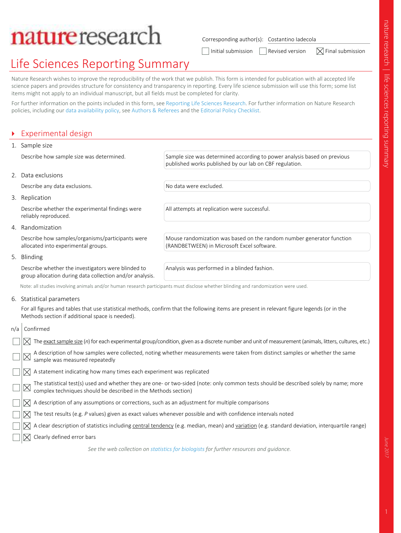# natureresearch

Corresponding author(s): Costantino Iadecola

Thitial submission  $\Box$  Revised version  $\Box$  Final submission

# Life Sciences Reporting Summary

Nature Research wishes to improve the reproducibility of the work that we publish. This form is intended for publication with all accepted life science papers and provides structure for consistency and transparency in reporting. Every life science submission will use this form; some list items might not apply to an individual manuscript, but all fields must be completed for clarity.

For further information on the points included in this form, see Reporting Life Sciences Research. For further information on Nature Research policies, including our data availability policy, see Authors & Referees and the Editorial Policy Checklist.

## ` Experimental design

| 1. Sample size                                                                                                 |                                                                                                                                     |  |
|----------------------------------------------------------------------------------------------------------------|-------------------------------------------------------------------------------------------------------------------------------------|--|
| Describe how sample size was determined.                                                                       | Sample size was determined according to power analysis based on previous<br>published works published by our lab on CBF regulation. |  |
| 2. Data exclusions                                                                                             |                                                                                                                                     |  |
| Describe any data exclusions.                                                                                  | No data were excluded.                                                                                                              |  |
| 3. Replication                                                                                                 |                                                                                                                                     |  |
| Describe whether the experimental findings were<br>reliably reproduced.                                        | All attempts at replication were successful.                                                                                        |  |
| 4. Randomization                                                                                               |                                                                                                                                     |  |
| Describe how samples/organisms/participants were<br>allocated into experimental groups.                        | Mouse randomization was based on the random number generator function<br>(RANDBETWEEN) in Microsoft Excel software.                 |  |
| 5. Blinding                                                                                                    |                                                                                                                                     |  |
| Describe whether the investigators were blinded to<br>group allocation during data collection and/or analysis. | Analysis was performed in a blinded fashion.                                                                                        |  |
|                                                                                                                | Note: all studies involving animals and/or human research participants must disclose whether blinding and randomization were used.  |  |
| Charles de la característica                                                                                   |                                                                                                                                     |  |

## 6. Statistical parameters

For all figures and tables that use statistical methods, confirm that the following items are present in relevant figure legends (or in the Methods section if additional space is needed).

| n/a | Confirmed                                                                                                                                                                                            |
|-----|------------------------------------------------------------------------------------------------------------------------------------------------------------------------------------------------------|
|     | The exact sample size (n) for each experimental group/condition, given as a discrete number and unit of measurement (animals, litters, cultures, etc.)                                               |
|     | A description of how samples were collected, noting whether measurements were taken from distinct samples or whether the same<br>sample was measured repeatedly                                      |
|     | A statement indicating how many times each experiment was replicated                                                                                                                                 |
|     | The statistical test(s) used and whether they are one- or two-sided (note: only common tests should be described solely by name; more complex techniques should be described in the Methods section) |
|     | A description of any assumptions or corrections, such as an adjustment for multiple comparisons                                                                                                      |
|     | The test results (e.g. P values) given as exact values whenever possible and with confidence intervals noted                                                                                         |
|     | A clear description of statistics including central tendency (e.g. median, mean) and variation (e.g. standard deviation, interquartile range)                                                        |
|     | Clearly defined error bars                                                                                                                                                                           |
|     | See the web collection on statistics for biologists for further resources and quidance.                                                                                                              |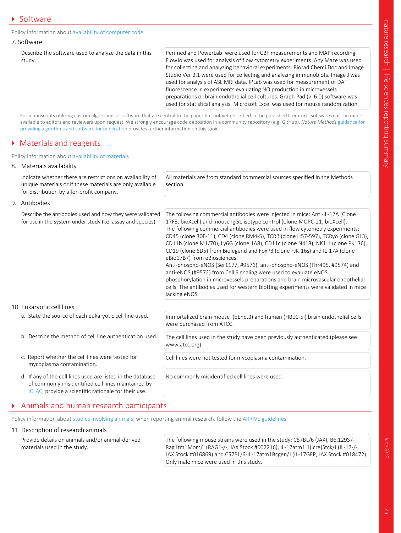### Policy information about availability of computer code

|  |  | 7. Software |
|--|--|-------------|
|--|--|-------------|

Describe the software used to analyze the data in this study.

Perimed and PowerLab were used for CBF measurements and MAP recording. FlowJo was used for analysis of flow cytometry experiments. Any Maze was used for collecting and analyzing behavioral experiments. Biorad Chemi Doc and Image Studio Ver 3.1 were used for collecting and analyzing immunoblots. Image J was used for analysis of ASL MRI data. IPLab was used for measurement of DAF fluorescence in experiments evaluating NO production in microvessels preparations or brain endothelial cell cultures. Graph Pad (v. 6.0) software was used for statistical analysis. Microsoft Excel was used for mouse randomization.

For manuscripts utilizing custom algorithms or software that are central to the paper but not yet described in the published literature, software must be made available to editors and reviewers upon request. We strongly encourage code deposition in a community repository (e.g. GitHub). *Nature Methods* guidance for providing algorithms and software for publication provides further information on this topic.

## **Materials and reagents**

### Policy information about availability of materials

| 8. Materials availability                                                                                                                                                 |                                                                                                                                                                                                                                                                                                                                                                                                                                                                                                                                                                                                                                                                                                                                                                                                                                                                              |  |
|---------------------------------------------------------------------------------------------------------------------------------------------------------------------------|------------------------------------------------------------------------------------------------------------------------------------------------------------------------------------------------------------------------------------------------------------------------------------------------------------------------------------------------------------------------------------------------------------------------------------------------------------------------------------------------------------------------------------------------------------------------------------------------------------------------------------------------------------------------------------------------------------------------------------------------------------------------------------------------------------------------------------------------------------------------------|--|
| Indicate whether there are restrictions on availability of<br>unique materials or if these materials are only available<br>for distribution by a for-profit company.      | All materials are from standard commercial sources specified in the Methods<br>section.                                                                                                                                                                                                                                                                                                                                                                                                                                                                                                                                                                                                                                                                                                                                                                                      |  |
| 9. Antibodies                                                                                                                                                             |                                                                                                                                                                                                                                                                                                                                                                                                                                                                                                                                                                                                                                                                                                                                                                                                                                                                              |  |
| Describe the antibodies used and how they were validated<br>for use in the system under study (i.e. assay and species).                                                   | The following commercial antibodies were injected in mice: Anti-IL-17A (Clone<br>17F3; bioXcell) and mouse lgG1 isotype control (Clone MOPC-21; bioXcell).<br>The following commercial antibodies were used in flow cytometry experiments:<br>CD45 (clone 30F-11), CD4 (clone RM4-5), TCRβ (clone H57-597), TCRγδ (clone GL3),<br>CD11b (clone M1/70), Ly6G (clone 1A8), CD11c (clone N418), NK1.1 (clone PK136),<br>CD19 (clone 6D5) from Biolegend and FoxP3 (clone FJK-16s) and IL-17A (clone<br>eBio17B7) from eBiosciences.<br>Anti-phospho-eNOS (Ser1177, #9571), anti-phospho-eNOS (Thr495, #9574) and<br>anti-eNOS (#9572) from Cell Signaling were used to evaluate eNOS<br>phosphorylation in microvessels preparations and brain microvascular endothelial<br>cells. The antibodies used for western blotting experiments were validated in mice<br>lacking eNOS. |  |
| 10. Eukaryotic cell lines                                                                                                                                                 |                                                                                                                                                                                                                                                                                                                                                                                                                                                                                                                                                                                                                                                                                                                                                                                                                                                                              |  |
| a. State the source of each eukaryotic cell line used.                                                                                                                    | Immortalized brain mouse (bEnd.3) and human (HBEC-5i) brain endothelial cells<br>were purchased from ATCC.                                                                                                                                                                                                                                                                                                                                                                                                                                                                                                                                                                                                                                                                                                                                                                   |  |
| b. Describe the method of cell line authentication used.                                                                                                                  | The cell lines used in the study have been previously authenticated (please see<br>www.atcc.org).                                                                                                                                                                                                                                                                                                                                                                                                                                                                                                                                                                                                                                                                                                                                                                            |  |
| c. Report whether the cell lines were tested for<br>mycoplasma contamination.                                                                                             | Cell lines were not tested for mycoplasma contamination.                                                                                                                                                                                                                                                                                                                                                                                                                                                                                                                                                                                                                                                                                                                                                                                                                     |  |
| d. If any of the cell lines used are listed in the database<br>of commonly misidentified cell lines maintained by<br>ICLAC, provide a scientific rationale for their use. | No commonly misidentified cell lines were used.                                                                                                                                                                                                                                                                                                                                                                                                                                                                                                                                                                                                                                                                                                                                                                                                                              |  |

# ` Animals and human research participants

Policy information about studies involving animals; when reporting animal research, follow the ARRIVE guidelines

### 11. Description of research animals

Provide details on animals and/or animal-derived materials used in the study.

The following mouse strains were used in the study: C57BL/6 (JAX), B6.129S7- Rag1tm1Mom/J (RAG1-/-, JAX Stock #002216), IL-17atm1.1(icre)Stck/J (IL-17-/-, JAX Stock #016869) and C57BL/6-IL-17atm1Bcgen/J (IL-17GFP, JAX Stock #018472). Only male mice were used in this study.

June 2017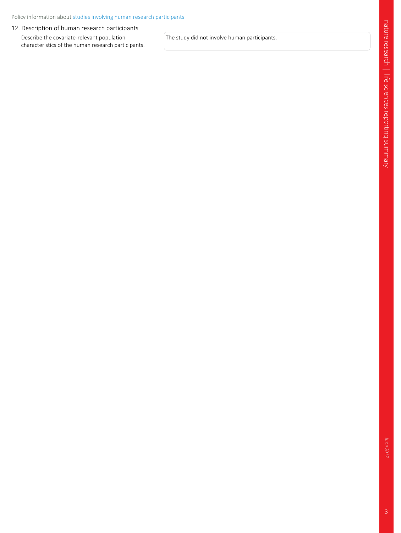### 12. Description of human research participants

Describe the covariate-relevant population characteristics of the human research participants. The study did not involve human participants.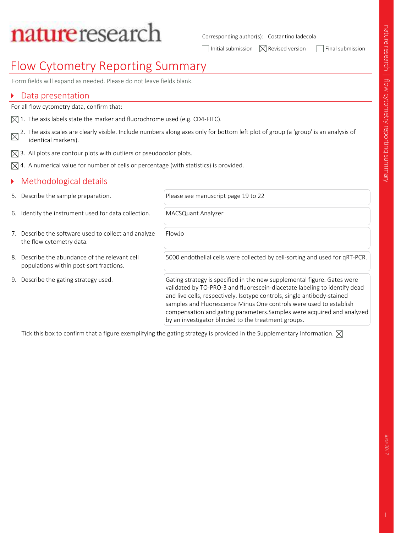# natureresearch

Corresponding author(s): Costantino Iadecola

 $\Box$  Initial submission  $\Box$   $\Box$  Revised version  $\Box$  Final submission

# Flow Cytometry Reporting Summary

Form fields will expand as needed. Please do not leave fields blank.

## ▶ Data presentation

For all flow cytometry data, confirm that:

- $\boxtimes$  1. The axis labels state the marker and fluorochrome used (e.g. CD4-FITC).
- 2. The axis scales are clearly visible. Include numbers along axes only for bottom left plot of group (a 'group' is an analysis of  $\overline{\mathsf{X}}$ identical markers).
- $\boxtimes$  3. All plots are contour plots with outliers or pseudocolor plots.
- $\boxtimes$  4. A numerical value for number of cells or percentage (with statistics) is provided.

# Methodological details

|                                       | 5. Describe the sample preparation.                                                       | Please see manuscript page 19 to 22                                                                                                                                                                                                                                                                                                                                                                                                    |
|---------------------------------------|-------------------------------------------------------------------------------------------|----------------------------------------------------------------------------------------------------------------------------------------------------------------------------------------------------------------------------------------------------------------------------------------------------------------------------------------------------------------------------------------------------------------------------------------|
|                                       | 6. Identify the instrument used for data collection.                                      | MACSQuant Analyzer                                                                                                                                                                                                                                                                                                                                                                                                                     |
|                                       | 7. Describe the software used to collect and analyze<br>the flow cytometry data.          | FlowJo                                                                                                                                                                                                                                                                                                                                                                                                                                 |
|                                       | 8. Describe the abundance of the relevant cell<br>populations within post-sort fractions. | 5000 endothelial cells were collected by cell-sorting and used for qRT-PCR.                                                                                                                                                                                                                                                                                                                                                            |
| 9. Describe the gating strategy used. |                                                                                           | Gating strategy is specified in the new supplemental figure. Gates were<br>validated by TO-PRO-3 and fluorescein-diacetate labeling to identify dead<br>and live cells, respectively. Isotype controls, single antibody-stained<br>samples and Fluorescence Minus One controls were used to establish<br>compensation and gating parameters. Samples were acquired and analyzed<br>by an investigator blinded to the treatment groups. |

Tick this box to confirm that a figure exemplifying the gating strategy is provided in the Supplementary Information.  $\boxtimes$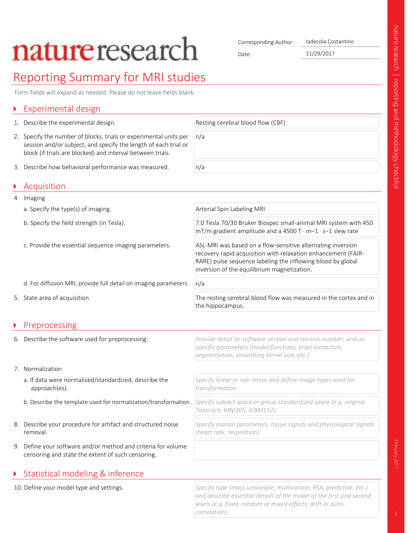# **nature** research

Corresponding Author: Iadecola Costantino

Date: 11/29/2017

# Reporting Summary for MRI studies

Form fields will expand as needed. Please do not leave fields blank.

# Experimental design

- 1. Describe the experimental design. The state of the experimental design.
- 2. Specify the number of blocks, trials or experimental units per session and/or subject, and specify the length of each trial or block (if trials are blocked) and interval between trials.
- 3. Describe how behavioral performance was measured.  $n/a$

# ` Acquisition

4. Imaging a. Specify the type(s) of imaging. Arterial Spin Labeling MRI b. Specify the field strength (in Tesla). 7.0 Tesla 70/30 Bruker Biospec small-animal MRI system with 450 mT/m gradient amplitude and a 4500 T · m−1 · s−1 slew rate c. Provide the essential sequence imaging parameters. ASL-MRI was based on a flow-sensitive alternating inversion recovery rapid acquisition with relaxation enhancement (FAIR-RARE) pulse sequence labeling the inflowing blood by global inversion of the equilibrium magnetization. d. For diffusion MRI, provide full detail on imaging parameters.  $|n/a|$ 5. State area of acquisition The resting cerebral blood flow was measured in the cortex and in the hippocampus. **Preprocessing** 6. Describe the software used for preprocessing. *Provide detail on software version and revision number, and on specific parameters (model/functions, brain extraction,* 

n/a

- 7. Normalization
	- a. If data were normalized/standardized, describe the approach(es).
	- b. Describe the template used for normalization/transformation. *Specify subject space or group standardized space (e.g. original*
- 8. Describe your procedure for artifact and structured noise removal.
- 9. Define your software and/or method and criteria for volume censoring and state the extent of such censoring.

# ▶ Statistical modeling & inference

10. Define your model type and settings. *Specify type (mass univariate, multivariate, RSA, predictive, etc.) and describe essential details of the model at the first and second levels (e.g. fixed, random or mixed effects; drift or autocorrelation).*

*Specify motion parameters, tissue signals and physiological signals*

*segmentation, smoothing kernel size, etc.)*

*transformation.*

*Talairach, MNI305, ICBM152).*

*(heart rate, respiration).*

*Specify linear or non-linear and define image types used for*